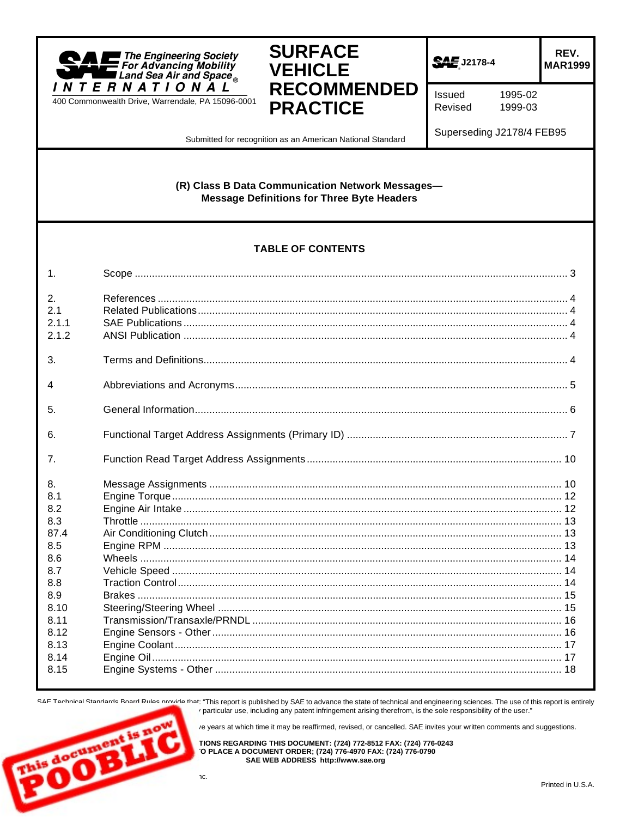



SAE J2178-4

REV. **MAR1999** 

Issued Revised

1995-02 1999-03

Submitted for recognition as an American National Standard

Superseding J2178/4 FEB95

## (R) Class B Data Communication Network Messages-**Message Definitions for Three Byte Headers**

## **TABLE OF CONTENTS**

| $\mathbf{1}$ .                                                                                                     |  |
|--------------------------------------------------------------------------------------------------------------------|--|
| 2.<br>2.1<br>211<br>2.1.2                                                                                          |  |
| 3.                                                                                                                 |  |
| 4                                                                                                                  |  |
| 5.                                                                                                                 |  |
| 6.                                                                                                                 |  |
| 7 <sub>1</sub>                                                                                                     |  |
| 8.<br>8.1<br>8.2<br>8.3<br>87.4<br>8.5<br>8.6<br>8.7<br>8.8<br>8.9<br>8.10<br>8.11<br>8.12<br>8.13<br>8.14<br>8.15 |  |

SAF Technical Standards Board Rules provide that: "This report is published by SAE to advance the state of technical and engineering sciences. The use of this report is entirely particular use, including any patent infringement arising therefrom, is the sole responsibility of the user."

re years at which time it may be reaffirmed, revised, or cancelled. SAE invites your written comments and suggestions.

TIONS REGARDING THIS DOCUMENT: (724) 772-8512 FAX: (724) 776-0243 O PLACE A DOCUMENT ORDER; (724) 776-4970 FAX: (724) 776-0790 SAE WEB ADDRESS http://www.sae.org

٦C.

**NS document**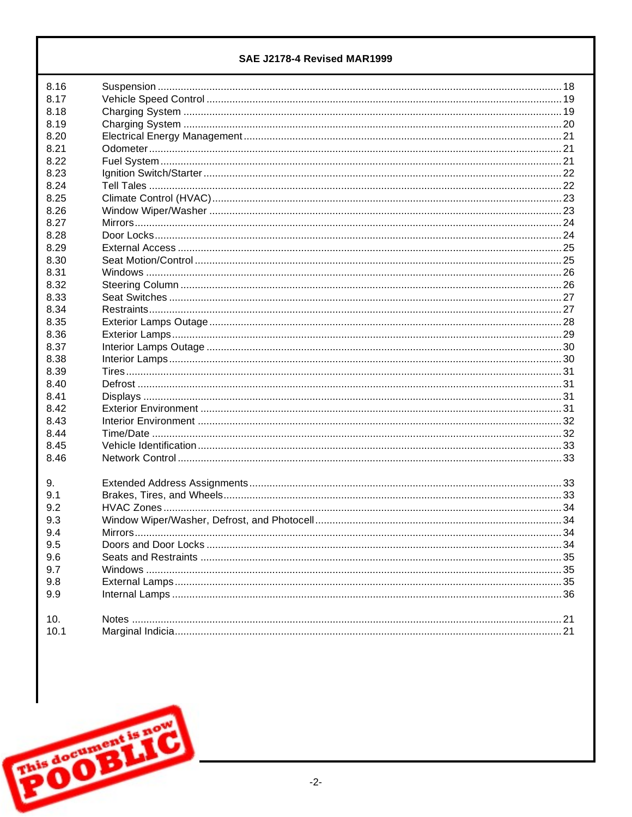| 8.17<br>8.18<br>8.19<br>8.20<br>8.21<br>8.22<br>8.23<br>8.24<br>8.25<br>8.26<br>8.27<br>8.28<br>8.29<br>8.30<br>8.31<br>8.32<br>8.33<br>8.34<br>8.35<br>8.36<br>8.37<br>8.38<br>8.39<br>8.40<br>8.41<br>8.42<br>8.43<br>8.44<br>8.45<br>8.46<br>9.<br>9.1<br>9.2<br>9.3<br>9.4<br>9.5<br>9.6<br>9.7<br>9.8<br>9.9<br>10.<br>10.1 | 8.16 |  |
|----------------------------------------------------------------------------------------------------------------------------------------------------------------------------------------------------------------------------------------------------------------------------------------------------------------------------------|------|--|
|                                                                                                                                                                                                                                                                                                                                  |      |  |
|                                                                                                                                                                                                                                                                                                                                  |      |  |
|                                                                                                                                                                                                                                                                                                                                  |      |  |
|                                                                                                                                                                                                                                                                                                                                  |      |  |
|                                                                                                                                                                                                                                                                                                                                  |      |  |
|                                                                                                                                                                                                                                                                                                                                  |      |  |
|                                                                                                                                                                                                                                                                                                                                  |      |  |
|                                                                                                                                                                                                                                                                                                                                  |      |  |
|                                                                                                                                                                                                                                                                                                                                  |      |  |
|                                                                                                                                                                                                                                                                                                                                  |      |  |
|                                                                                                                                                                                                                                                                                                                                  |      |  |
|                                                                                                                                                                                                                                                                                                                                  |      |  |
|                                                                                                                                                                                                                                                                                                                                  |      |  |
|                                                                                                                                                                                                                                                                                                                                  |      |  |
|                                                                                                                                                                                                                                                                                                                                  |      |  |
|                                                                                                                                                                                                                                                                                                                                  |      |  |
|                                                                                                                                                                                                                                                                                                                                  |      |  |
|                                                                                                                                                                                                                                                                                                                                  |      |  |
|                                                                                                                                                                                                                                                                                                                                  |      |  |
|                                                                                                                                                                                                                                                                                                                                  |      |  |
|                                                                                                                                                                                                                                                                                                                                  |      |  |
|                                                                                                                                                                                                                                                                                                                                  |      |  |
|                                                                                                                                                                                                                                                                                                                                  |      |  |
|                                                                                                                                                                                                                                                                                                                                  |      |  |
|                                                                                                                                                                                                                                                                                                                                  |      |  |
|                                                                                                                                                                                                                                                                                                                                  |      |  |
|                                                                                                                                                                                                                                                                                                                                  |      |  |
|                                                                                                                                                                                                                                                                                                                                  |      |  |
|                                                                                                                                                                                                                                                                                                                                  |      |  |
|                                                                                                                                                                                                                                                                                                                                  |      |  |
|                                                                                                                                                                                                                                                                                                                                  |      |  |
|                                                                                                                                                                                                                                                                                                                                  |      |  |
|                                                                                                                                                                                                                                                                                                                                  |      |  |
|                                                                                                                                                                                                                                                                                                                                  |      |  |
|                                                                                                                                                                                                                                                                                                                                  |      |  |
|                                                                                                                                                                                                                                                                                                                                  |      |  |
|                                                                                                                                                                                                                                                                                                                                  |      |  |
|                                                                                                                                                                                                                                                                                                                                  |      |  |
|                                                                                                                                                                                                                                                                                                                                  |      |  |
|                                                                                                                                                                                                                                                                                                                                  |      |  |
|                                                                                                                                                                                                                                                                                                                                  |      |  |
|                                                                                                                                                                                                                                                                                                                                  |      |  |
|                                                                                                                                                                                                                                                                                                                                  |      |  |
|                                                                                                                                                                                                                                                                                                                                  |      |  |

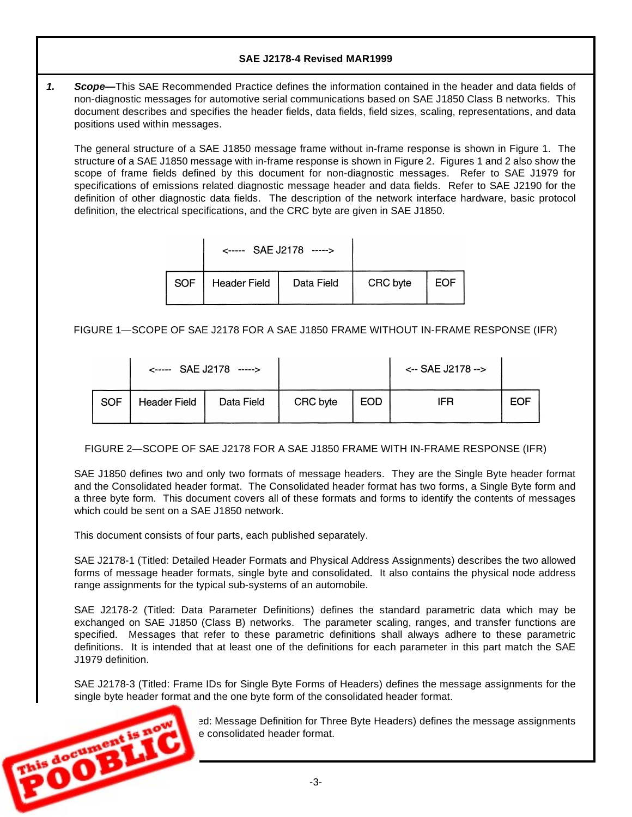*1. Scope—* This SAE Recommended Practice defines the information contained in the header and data fields of non-diagnostic messages for automotive serial communications based on SAE J1850 Class B networks. This document describes and specifies the header fields, data fields, field sizes, scaling, representations, and data positions used within messages.

The general structure of a SAE J1850 message frame without in-frame response is shown in Figure 1. The structure of a SAE J1850 message with in-frame response is shown in Figure 2. Figures 1 and 2 also show the scope of frame fields defined by this document for non-diagnostic messages. Refer to SAE J1979 for specifications of emissions related diagnostic message header and data fields. Refer to SAE J2190 for the definition of other diagnostic data fields. The description of the network interface hardware, basic protocol definition, the electrical specifications, and the CRC byte are given in SAE J1850.

|            | <----- SAE J2178 -----> |            |          |     |
|------------|-------------------------|------------|----------|-----|
| <b>SOF</b> | <b>Header Field</b>     | Data Field | CRC byte | EOF |

FIGURE 1— SCOPE OF SAE J2178 FOR A SAE J1850 FRAME WITHOUT IN-FRAME RESPONSE (IFR)

|            | $\leftarrow$ SAE J2178 -----> |            |          |            | $\leftarrow$ SAE J2178 --> |     |
|------------|-------------------------------|------------|----------|------------|----------------------------|-----|
| <b>SOF</b> | <b>Header Field</b>           | Data Field | CRC byte | <b>EOD</b> | <b>IFR</b>                 | EOF |

FIGURE 2— SCOPE OF SAE J2178 FOR A SAE J1850 FRAME WITH IN-FRAME RESPONSE (IFR)

SAE J1850 defines two and only two formats of message headers. They are the Single Byte header format and the Consolidated header format. The Consolidated header format has two forms, a Single Byte form and a three byte form. This document covers all of these formats and forms to identify the contents of messages which could be sent on a SAE J1850 network.

This document consists of four parts, each published separately.

SAE J2178-1 (Titled: Detailed Header Formats and Physical Address Assignments) describes the two allowed forms of message header formats, single byte and consolidated. It also contains the physical node address range assignments for the typical sub-systems of an automobile.

SAE J2178-2 (Titled: Data Parameter Definitions) defines the standard parametric data which may be exchanged on SAE J1850 (Class B) networks. The parameter scaling, ranges, and transfer functions are specified. Messages that refer to these parametric definitions shall always adhere to these parametric definitions. It is intended that at least one of the definitions for each parameter in this part match the SAE J1979 definition.

SAE J2178-3 (Titled: Frame IDs for Single Byte Forms of Headers) defines the message assignments for the single byte header format and the one byte form of the consolidated header format.



Ed: Message Definition for Three Byte Headers) defines the message assignments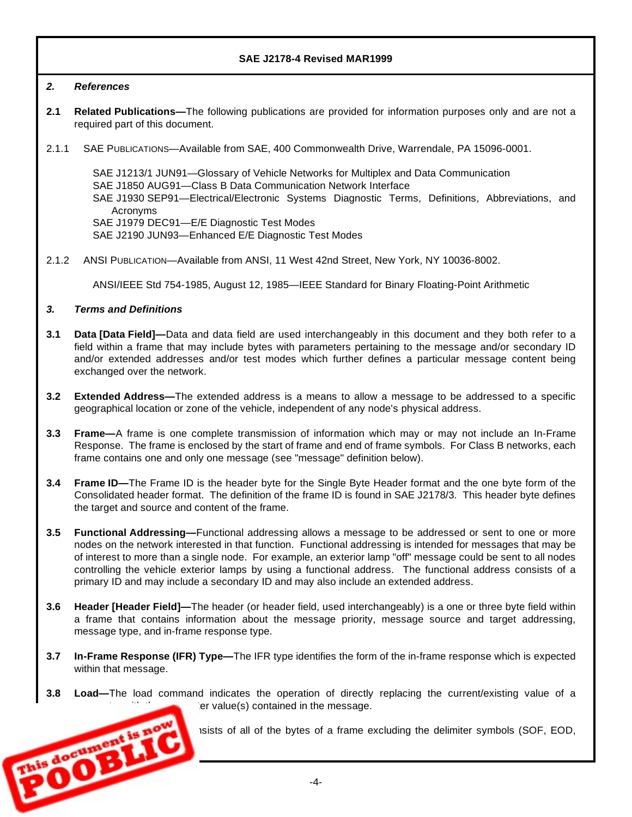### *2. References*

- **2.1 Related Publications—** The following publications are provided for information purposes only and are not a required part of this document.
- 2.1.1 SAE PUBLICATIONS— Available from SAE, 400 Commonwealth Drive, Warrendale, PA 15096-0001.

SAE J1213/1 JUN91— Glossary of Vehicle Networks for Multiplex and Data Communication SAE J1850 AUG91— Class B Data Communication Network Interface SAE J1930 SEP91— Electrical/Electronic Systems Diagnostic Terms, Definitions, Abbreviations, and Acronyms SAE J1979 DEC91— E/E Diagnostic Test Modes SAE J2190 JUN93— Enhanced E/E Diagnostic Test Modes

2.1.2 ANSI PUBLICATION— Available from ANSI, 11 West 42nd Street, New York, NY 10036-8002.

ANSI/IEEE Std 754-1985, August 12, 1985— IEEE Standard for Binary Floating-Point Arithmetic

*3. Terms and Definitions*

**ENGINEERING** 

- **3.1 Data [Data Field]—** Data and data field are used interchangeably in this document and they both refer to a field within a frame that may include bytes with parameters pertaining to the message and/or secondary ID and/or extended addresses and/or test modes which further defines a particular message content being exchanged over the network.
- **3.2 Extended Address—** The extended address is a means to allow a message to be addressed to a specific geographical location or zone of the vehicle, independent of any node's physical address.
- **3.3 Frame**—A frame is one complete transmission of information which may or may not include an In-Frame Response. The frame is enclosed by the start of frame and end of frame symbols. For Class B networks, each frame contains one and only one message (see "message" definition below).
- **3.4 Frame ID—** The Frame ID is the header byte for the Single Byte Header format and the one byte form of the Consolidated header format. The definition of the frame ID is found in SAE J2178/3. This header byte defines the target and source and content of the frame.
- **3.5 Functional Addressing—** Functional addressing allows a message to be addressed or sent to one or more nodes on the network interested in that function. Functional addressing is intended for messages that may be of interest to more than a single node. For example, an exterior lamp "off" message could be sent to all nodes controlling the vehicle exterior lamps by using a functional address. The functional address consists of a primary ID and may include a secondary ID and may also include an extended address.
- **3.6 Header [Header Field]—** The header (or header field, used interchangeably) is a one or three byte field within a frame that contains information about the message priority, message source and target addressing, message type, and in-frame response type.
- **3.7 In-Frame Response (IFR) Type—** The IFR type identifies the form of the in-frame response which is expected within that message.
- **3.8 Load—** The load command indicates the operation of directly replacing the current/existing value of a er value(s) contained in the message.

1sists of all of the bytes of a frame excluding the delimiter symbols (SOF, EOD,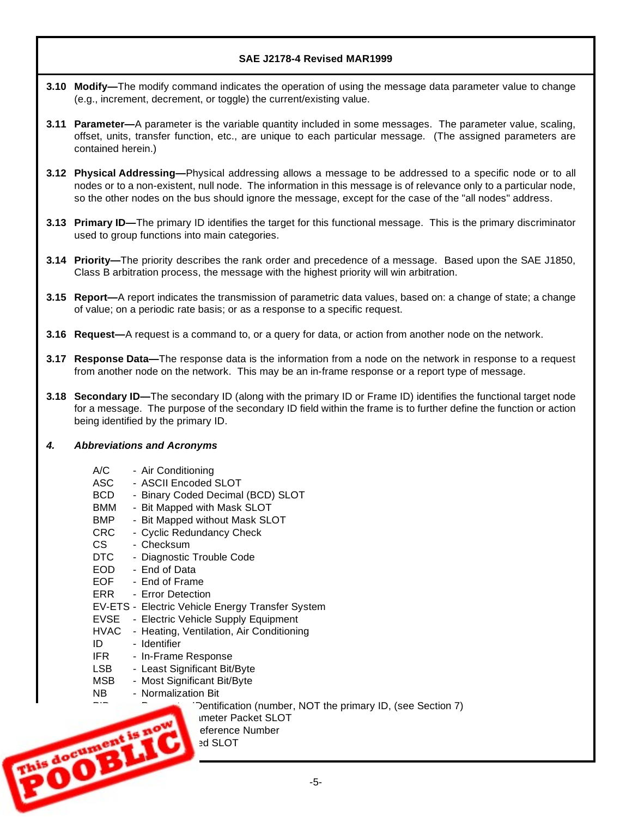- **3.10** Modify—The modify command indicates the operation of using the message data parameter value to change (e.g., increment, decrement, or toggle) the current/existing value.
- **3.11 Parameter—**A parameter is the variable quantity included in some messages. The parameter value, scaling, offset, units, transfer function, etc., are unique to each particular message. (The assigned parameters are contained herein.)
- **3.12 Physical Addressing—** Physical addressing allows a message to be addressed to a specific node or to all nodes or to a non-existent, null node. The information in this message is of relevance only to a particular node, so the other nodes on the bus should ignore the message, except for the case of the "all nodes" address.
- **3.13** Primary ID—The primary ID identifies the target for this functional message. This is the primary discriminator used to group functions into main categories.
- **3.14 Priority—** The priority describes the rank order and precedence of a message. Based upon the SAE J1850, Class B arbitration process, the message with the highest priority will win arbitration.
- **3.15 Report—** A report indicates the transmission of parametric data values, based on: a change of state; a change of value; on a periodic rate basis; or as a response to a specific request.
- **3.16 Request—** A request is a command to, or a query for data, or action from another node on the network.
- **3.17 Response Data—The response data is the information from a node on the network in response to a request** from another node on the network. This may be an in-frame response or a report type of message.
- **3.18 Secondary ID—The secondary ID (along with the primary ID or Frame ID) identifies the functional target node** for a message. The purpose of the secondary ID field within the frame is to further define the function or action being identified by the primary ID.

### *4. Abbreviations and Acronyms*

- A/C Air Conditioning
- ASC ASCII Encoded SLOT
- BCD Binary Coded Decimal (BCD) SLOT
- BMM Bit Mapped with Mask SLOT
- BMP Bit Mapped without Mask SLOT
- CRC Cyclic Redundancy Check
- CS Checksum
- DTC Diagnostic Trouble Code
- EOD End of Data
- EOF End of Frame
- ERR Error Detection
- EV-ETS Electric Vehicle Energy Transfer System
- EVSE Electric Vehicle Supply Equipment
- HVAC Heating, Ventilation, Air Conditioning
- ID Identifier
- IFR In-Frame Response
- LSB Least Significant Bit/Byte
- MSB Most Significant Bit/Byte
- NB Normalization Bit

Dentification (number, NOT the primary ID, (see Section 7)

-5-

**Imeter Packet SLOT** 

eference Number BLAOGRAPHONE ENCORAGE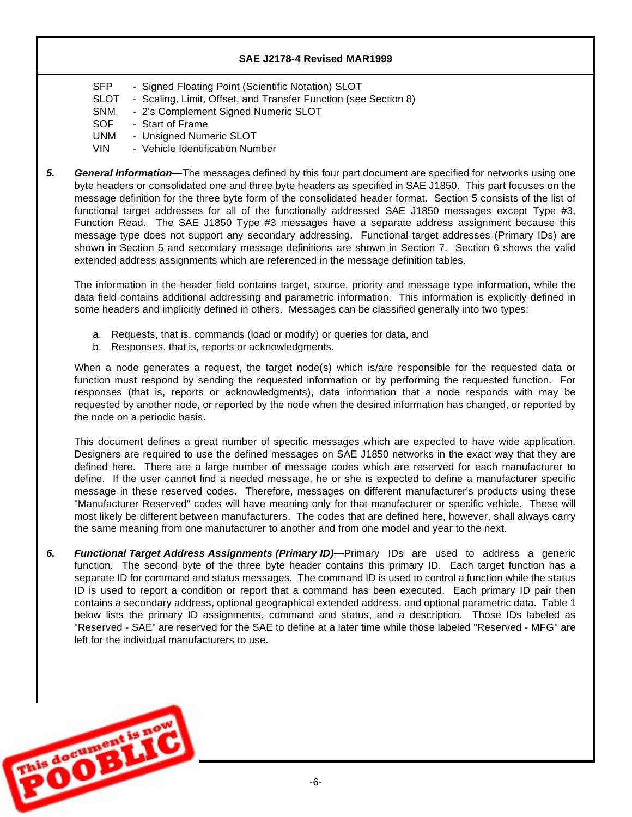- SFP Signed Floating Point (Scientific Notation) SLOT
- SLOT Scaling, Limit, Offset, and Transfer Function (see Section 8)
- SNM 2's Complement Signed Numeric SLOT
- SOF Start of Frame
- UNM Unsigned Numeric SLOT
- VIN Vehicle Identification Number
- *5. General Information—* The messages defined by this four part document are specified for networks using one byte headers or consolidated one and three byte headers as specified in SAE J1850. This part focuses on the message definition for the three byte form of the consolidated header format. Section 5 consists of the list of functional target addresses for all of the functionally addressed SAE J1850 messages except Type #3, Function Read. The SAE J1850 Type #3 messages have a separate address assignment because this message type does not support any secondary addressing. Functional target addresses (Primary IDs) are shown in Section 5 and secondary message definitions are shown in Section 7. Section 6 shows the valid extended address assignments which are referenced in the message definition tables.

The information in the header field contains target, source, priority and message type information, while the data field contains additional addressing and parametric information. This information is explicitly defined in some headers and implicitly defined in others. Messages can be classified generally into two types:

- a. Requests, that is, commands (load or modify) or queries for data, and
- b. Responses, that is, reports or acknowledgments.

When a node generates a request, the target node(s) which is/are responsible for the requested data or function must respond by sending the requested information or by performing the requested function. For responses (that is, reports or acknowledgments), data information that a node responds with may be requested by another node, or reported by the node when the desired information has changed, or reported by the node on a periodic basis.

This document defines a great number of specific messages which are expected to have wide application. Designers are required to use the defined messages on SAE J1850 networks in the exact way that they are defined here. There are a large number of message codes which are reserved for each manufacturer to define. If the user cannot find a needed message, he or she is expected to define a manufacturer specific message in these reserved codes. Therefore, messages on different manufacturer's products using these "Manufacturer Reserved" codes will have meaning only for that manufacturer or specific vehicle. These will most likely be different between manufacturers. The codes that are defined here, however, shall always carry the same meaning from one manufacturer to another and from one model and year to the next.

*6. Functional Target Address Assignments (Primary ID)—* Primary IDs are used to address a generic function. The second byte of the three byte header contains this primary ID. Each target function has a separate ID for command and status messages. The command ID is used to control a function while the status ID is used to report a condition or report that a command has been executed. Each primary ID pair then contains a secondary address, optional geographical extended address, and optional parametric data. Table 1 below lists the primary ID assignments, command and status, and a description. Those IDs labeled as "Reserved - SAE" are reserved for the SAE to define at a later time while those labeled "Reserved - MFG" are left for the individual manufacturers to use.

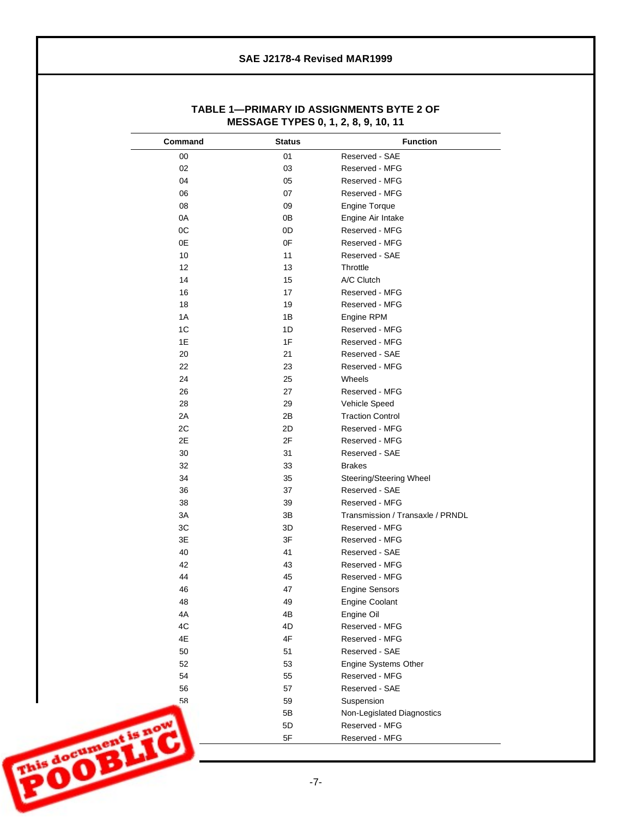| Command            | <b>Status</b> | <b>Function</b>                  |
|--------------------|---------------|----------------------------------|
| $00\,$             | 01            | Reserved - SAE                   |
| 02                 | 03            | Reserved - MFG                   |
| 04                 | 05            | Reserved - MFG                   |
| 06                 | 07            | Reserved - MFG                   |
| 08                 | 09            | <b>Engine Torque</b>             |
| 0A                 | 0B            | Engine Air Intake                |
| OC                 | 0D            | Reserved - MFG                   |
| 0E                 | 0F            | Reserved - MFG                   |
| 10                 | 11            | Reserved - SAE                   |
| 12                 | 13            | Throttle                         |
| 14                 | 15            | A/C Clutch                       |
| 16                 | 17            | Reserved - MFG                   |
| 18                 | 19            | Reserved - MFG                   |
| 1A                 | 1B            | Engine RPM                       |
| 1C                 | 1D            | Reserved - MFG                   |
| 1E                 | 1F            | Reserved - MFG                   |
| 20                 | 21            | Reserved - SAE                   |
| 22                 | 23            | Reserved - MFG                   |
| 24                 | 25            | Wheels                           |
| 26                 | 27            | Reserved - MFG                   |
| 28                 | 29            | Vehicle Speed                    |
| 2A                 | 2B            | <b>Traction Control</b>          |
| 2C                 |               |                                  |
|                    | 2D            | Reserved - MFG                   |
| 2E                 | 2F            | Reserved - MFG                   |
| 30                 | 31            | Reserved - SAE                   |
| 32                 | 33            | <b>Brakes</b>                    |
| 34                 | 35            | Steering/Steering Wheel          |
| 36                 | 37            | Reserved - SAE                   |
| 38                 | 39            | Reserved - MFG                   |
| 3A                 | 3B            | Transmission / Transaxle / PRNDL |
| 3C                 | 3D            | Reserved - MFG                   |
| 3E                 | 3F            | Reserved - MFG                   |
| 40                 | 41            | Reserved - SAE                   |
| 42                 | 43            | Reserved - MFG                   |
| 44                 | 45            | Reserved - MFG                   |
| 46                 | 47            | <b>Engine Sensors</b>            |
| 48                 | 49            | Engine Coolant                   |
| 4A                 | 4B            | Engine Oil                       |
| 4C                 | 4D            | Reserved - MFG                   |
| 4E                 | 4F            | Reserved - MFG                   |
| 50                 | 51            | Reserved - SAE                   |
| 52                 | 53            | Engine Systems Other             |
| 54                 | 55            | Reserved - MFG                   |
| 56                 | 57            | Reserved - SAE                   |
| 58                 | 59            | Suspension                       |
|                    | 5B            | Non-Legislated Diagnostics       |
|                    | 5D            | Reserved - MFG                   |
| is document is now | 5F            | Reserved - MFG                   |
|                    |               |                                  |

## **TABLE 1— PRIMARY ID ASSIGNMENTS BYTE 2 OF MESSAGE TYPES 0, 1, 2, 8, 9, 10, 11**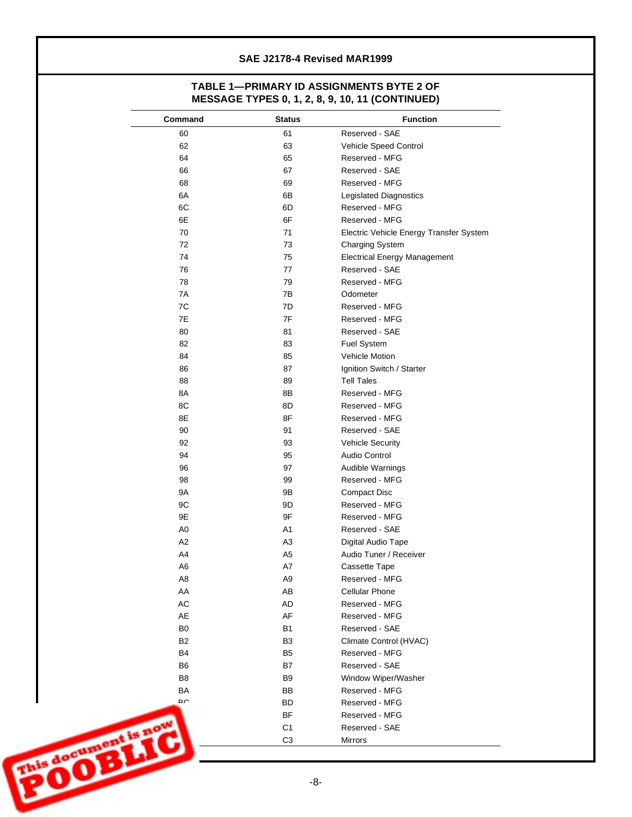### **TABLE 1— PRIMARY ID ASSIGNMENTS BYTE 2 OF MESSAGE TYPES 0, 1, 2, 8, 9, 10, 11 (CONTINUED)**

| Command             | <b>Status</b>  | <b>Function</b>                         |
|---------------------|----------------|-----------------------------------------|
| 60                  | 61             | Reserved - SAE                          |
| 62                  | 63             | Vehicle Speed Control                   |
| 64                  | 65             | Reserved - MFG                          |
| 66                  | 67             | Reserved - SAE                          |
| 68                  | 69             | Reserved - MFG                          |
| 6A                  | 6B             | <b>Legislated Diagnostics</b>           |
| 6C                  | 6D             | Reserved - MFG                          |
| 6E                  | 6F             | Reserved - MFG                          |
| 70                  | 71             | Electric Vehicle Energy Transfer System |
| 72                  | 73             | Charging System                         |
| 74                  | 75             | <b>Electrical Energy Management</b>     |
| 76                  | 77             | Reserved - SAE                          |
| 78                  | 79             | Reserved - MFG                          |
| 7A                  | 7B             | Odometer                                |
| ${\mbox{7C}}$       | 7D             | Reserved - MFG                          |
| 7E                  | $7\mathsf{F}$  | Reserved - MFG                          |
| 80                  | 81             | Reserved - SAE                          |
| 82                  | 83             | Fuel System                             |
| 84                  | 85             | Vehicle Motion                          |
| 86                  | 87             | Ignition Switch / Starter               |
| 88                  | 89             | <b>Tell Tales</b>                       |
| 8A                  | 8B             | Reserved - MFG                          |
| 8C                  | 8D             | Reserved - MFG                          |
| 8E                  | 8F             | Reserved - MFG                          |
| 90                  | 91             | Reserved - SAE                          |
| 92                  | 93             | <b>Vehicle Security</b>                 |
| 94                  | 95             | Audio Control                           |
| 96                  | 97             | Audible Warnings                        |
| 98                  | 99             | Reserved - MFG                          |
| <b>9A</b>           | 9B             | Compact Disc                            |
| 9C                  | 9D             | Reserved - MFG                          |
| 9E                  | 9F             | Reserved - MFG                          |
| A <sub>0</sub>      | A <sub>1</sub> | Reserved - SAE                          |
| A2                  | A <sub>3</sub> | Digital Audio Tape                      |
| A4                  | A <sub>5</sub> | Audio Tuner / Receiver                  |
|                     |                |                                         |
| A <sub>6</sub>      | $\mathsf{A}7$  | Cassette Tape<br>Reserved - MFG         |
| A8                  | A <sub>9</sub> |                                         |
| AA                  | AB             | Cellular Phone                          |
| $\mathsf{AC}$       | AD             | Reserved - MFG                          |
| AE                  | AF             | Reserved - MFG                          |
| ${\sf B0}$          | <b>B1</b>      | Reserved - SAE                          |
| B <sub>2</sub>      | B <sub>3</sub> | Climate Control (HVAC)                  |
| B4                  | B <sub>5</sub> | Reserved - MFG                          |
| B <sub>6</sub>      | B7             | Reserved - SAE                          |
| B8                  | B <sub>9</sub> | Window Wiper/Washer                     |
| BA                  | BB             | Reserved - MFG                          |
| $D \cap$            | <b>BD</b>      | Reserved - MFG                          |
|                     | BF             | Reserved - MFG                          |
| his document is now | C <sub>1</sub> | Reserved - SAE                          |
|                     | C <sub>3</sub> | Mirrors                                 |
|                     |                |                                         |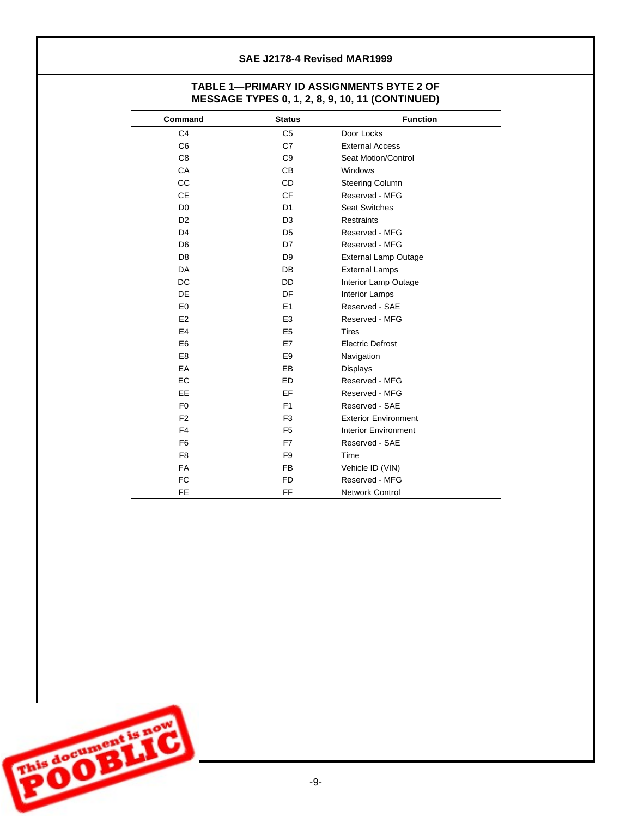## **TABLE 1— PRIMARY ID ASSIGNMENTS BYTE 2 OF MESSAGE TYPES 0, 1, 2, 8, 9, 10, 11 (CONTINUED)**

| Command        | <b>Status</b>  | <b>Function</b>             |
|----------------|----------------|-----------------------------|
| C <sub>4</sub> | C <sub>5</sub> | Door Locks                  |
| C <sub>6</sub> | C7             | <b>External Access</b>      |
| C <sub>8</sub> | C <sub>9</sub> | Seat Motion/Control         |
| CA             | C <sub>B</sub> | Windows                     |
| CC             | <b>CD</b>      | Steering Column             |
| <b>CE</b>      | <b>CF</b>      | Reserved - MFG              |
| D <sub>0</sub> | D <sub>1</sub> | <b>Seat Switches</b>        |
| D <sub>2</sub> | D <sub>3</sub> | <b>Restraints</b>           |
| D <sub>4</sub> | D <sub>5</sub> | Reserved - MFG              |
| D <sub>6</sub> | D7             | Reserved - MFG              |
| D <sub>8</sub> | D <sub>9</sub> | <b>External Lamp Outage</b> |
| <b>DA</b>      | <b>DB</b>      | <b>External Lamps</b>       |
| <b>DC</b>      | <b>DD</b>      | Interior Lamp Outage        |
| DE             | DF             | <b>Interior Lamps</b>       |
| E <sub>0</sub> | E <sub>1</sub> | Reserved - SAE              |
| E <sub>2</sub> | E <sub>3</sub> | Reserved - MFG              |
| E <sub>4</sub> | E <sub>5</sub> | <b>Tires</b>                |
| E <sub>6</sub> | E7             | <b>Electric Defrost</b>     |
| E <sub>8</sub> | E <sub>9</sub> | Navigation                  |
| EA             | EB             | Displays                    |
| EC             | <b>ED</b>      | Reserved - MFG              |
| EE.            | EF             | Reserved - MFG              |
| F <sub>0</sub> | F1             | Reserved - SAE              |
| F <sub>2</sub> | F <sub>3</sub> | <b>Exterior Environment</b> |
| F <sub>4</sub> | F <sub>5</sub> | <b>Interior Environment</b> |
| F <sub>6</sub> | F7             | Reserved - SAE              |
| F <sub>8</sub> | F <sub>9</sub> | Time                        |
| FA             | <b>FB</b>      | Vehicle ID (VIN)            |
| <b>FC</b>      | <b>FD</b>      | Reserved - MFG              |
| <b>FE</b>      | FF             | <b>Network Control</b>      |

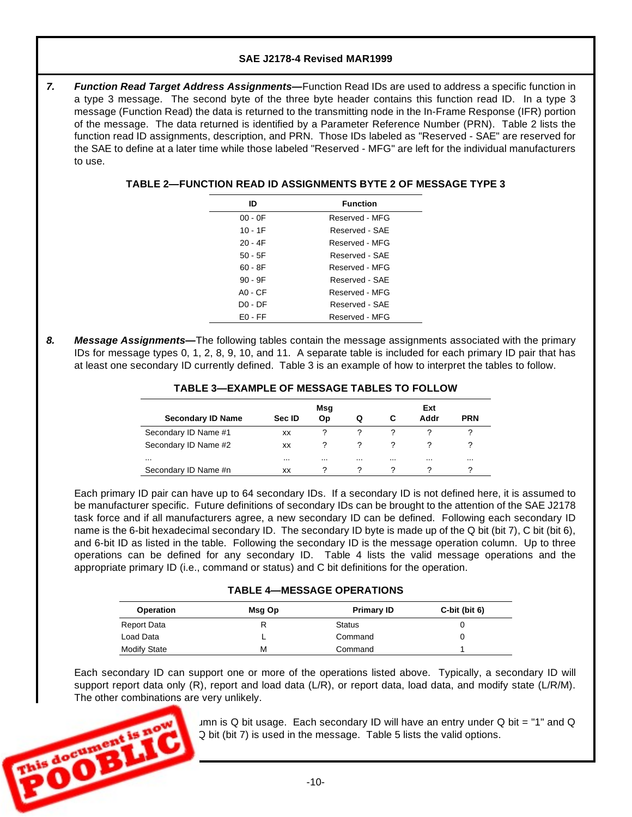7. *Function Read Target Address Assignments—Function Read IDs are used to address a specific function in* a type 3 message. The second byte of the three byte header contains this function read ID. In a type 3 message (Function Read) the data is returned to the transmitting node in the In-Frame Response (IFR) portion of the message. The data returned is identified by a Parameter Reference Number (PRN). Table 2 lists the function read ID assignments, description, and PRN. Those IDs labeled as "Reserved - SAE" are reserved for the SAE to define at a later time while those labeled "Reserved - MFG" are left for the individual manufacturers to use.

| ID        | <b>Function</b> |
|-----------|-----------------|
| $00 - 0F$ | Reserved - MFG  |
| $10 - 1F$ | Reserved - SAF  |
| 20 - 4F   | Reserved - MFG  |
| $50 - 5F$ | Reserved - SAF  |
| 60 - 8F   | Reserved - MFG  |
| $90 - 9F$ | Reserved - SAF  |
| $AO - CF$ | Reserved - MFG  |
| $D0 - DF$ | Reserved - SAF  |
| $FO - FF$ | Reserved - MFG  |

## **TABLE 2— FUNCTION READ ID ASSIGNMENTS BYTE 2 OF MESSAGE TYPE 3**

*8. Message Assignments—* The following tables contain the message assignments associated with the primary IDs for message types 0, 1, 2, 8, 9, 10, and 11. A separate table is included for each primary ID pair that has at least one secondary ID currently defined. Table 3 is an example of how to interpret the tables to follow.

| <b>TABLE 3—EXAMPLE OF MESSAGE TABLES TO FOLLOW</b> |     |    |  |
|----------------------------------------------------|-----|----|--|
|                                                    | Mea | c. |  |

|                          |          | Msg      |          |          | Ext      |            |
|--------------------------|----------|----------|----------|----------|----------|------------|
| <b>Secondary ID Name</b> | Sec ID   | Op       | O        | С        | Addr     | <b>PRN</b> |
| Secondary ID Name #1     | ХX       | າ        |          |          |          | ◠          |
| Secondary ID Name #2     | ХX       | 2        |          |          |          |            |
| $\cdots$                 | $\cdots$ | $\cdots$ | $\cdots$ | $\cdots$ | $\cdots$ | $\cdots$   |
| Secondary ID Name #n     | XX       |          |          |          |          |            |

Each primary ID pair can have up to 64 secondary IDs. If a secondary ID is not defined here, it is assumed to be manufacturer specific. Future definitions of secondary IDs can be brought to the attention of the SAE J2178 task force and if all manufacturers agree, a new secondary ID can be defined. Following each secondary ID name is the 6-bit hexadecimal secondary ID. The secondary ID byte is made up of the Q bit (bit 7), C bit (bit 6), and 6-bit ID as listed in the table. Following the secondary ID is the message operation column. Up to three operations can be defined for any secondary ID. Table 4 lists the valid message operations and the appropriate primary ID (i.e., command or status) and C bit definitions for the operation.

### **TABLE 4— MESSAGE OPERATIONS**

| Operation           | Msg Op | <b>Primary ID</b> | C-bit (bit $6$ ) |
|---------------------|--------|-------------------|------------------|
| Report Data         |        | <b>Status</b>     |                  |
| Load Data           |        | Command           |                  |
| <b>Modify State</b> | М      | Command           |                  |

Each secondary ID can support one or more of the operations listed above. Typically, a secondary ID will support report data only (R), report and load data (L/R), or report data, load data, and modify state (L/R/M). The other combinations are very unlikely.



 $Imn$  is Q bit usage. Each secondary ID will have an entry under Q bit = "1" and Q Q bit (bit 7) is used in the message. Table 5 lists the valid options.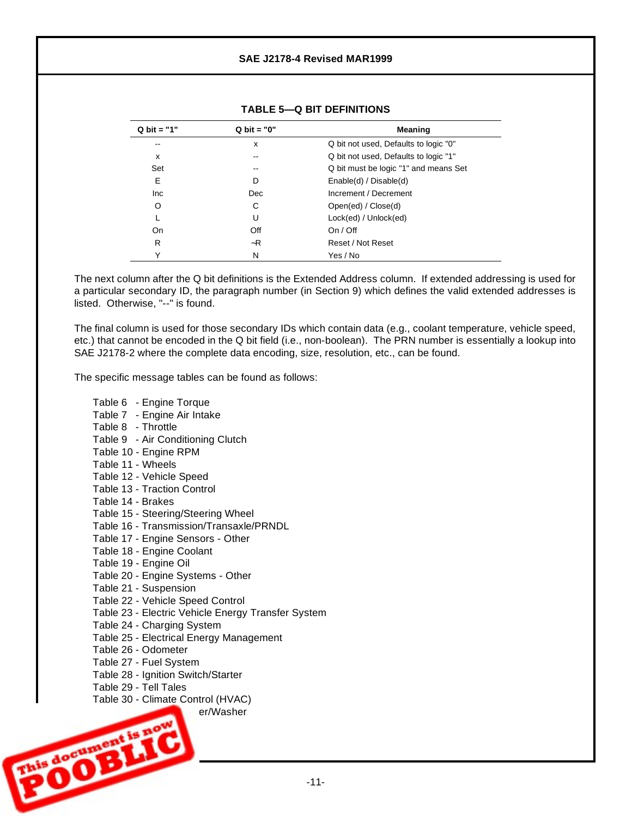| $Q$ bit = "1" | $Q$ bit = "0" | <b>Meaning</b>                        |
|---------------|---------------|---------------------------------------|
| --            | x             | Q bit not used, Defaults to logic "0" |
| x             | --            | Q bit not used, Defaults to logic "1" |
| Set           | --            | Q bit must be logic "1" and means Set |
| Е             | D             | Enable(d) / Disable(d)                |
| Inc           | Dec           | Increment / Decrement                 |
| O             | С             | Open(ed) / Close(d)                   |
| L             | U             | Lock(ed) / Unlock(ed)                 |
| On            | Off           | On / Off                              |
| R             | ~R            | Reset / Not Reset                     |
| Υ             | N             | Yes / No                              |

## **TABLE 5— Q BIT DEFINITIONS**

The next column after the Q bit definitions is the Extended Address column. If extended addressing is used for a particular secondary ID, the paragraph number (in Section 9) which defines the valid extended addresses is listed. Otherwise, "--" is found.

The final column is used for those secondary IDs which contain data (e.g., coolant temperature, vehicle speed, etc.) that cannot be encoded in the Q bit field (i.e., non-boolean). The PRN number is essentially a lookup into SAE J2178-2 where the complete data encoding, size, resolution, etc., can be found.

The specific message tables can be found as follows:

- Table 6 Engine Torque
- Table 7 Engine Air Intake
- Table 8 Throttle
- Table 9 Air Conditioning Clutch
- Table 10 Engine RPM
- Table 11 Wheels
- Table 12 Vehicle Speed
- Table 13 Traction Control
- Table 14 Brakes
- Table 15 Steering/Steering Wheel
- Table 16 Transmission/Transaxle/PRNDL
- Table 17 Engine Sensors Other
- Table 18 Engine Coolant
- Table 19 Engine Oil
- Table 20 Engine Systems Other
- Table 21 Suspension
- Table 22 Vehicle Speed Control
- Table 23 Electric Vehicle Energy Transfer System
- Table 24 Charging System
- Table 25 Electrical Energy Management
- Table 26 Odometer
- Table 27 Fuel System
- Table 28 Ignition Switch/Starter
- Table 29 Tell Tales

 $T^*$   $\alpha$ <sup>VV</sup>

**Accument** 

Table 30 - Climate Control (HVAC)

er/Washer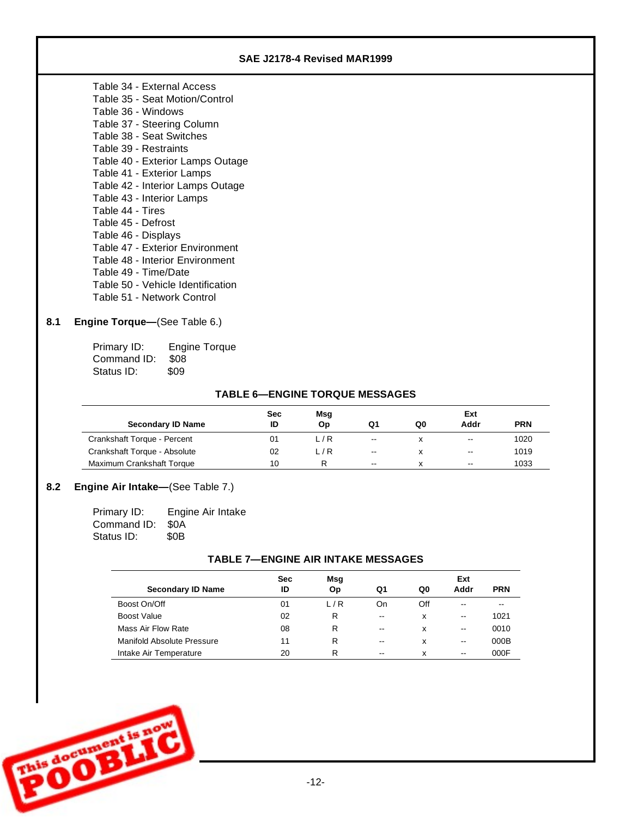| SAE J2178-4 Revised MAR1999       |  |
|-----------------------------------|--|
| Table 34 - External Access        |  |
| Table 35 - Seat Motion/Control    |  |
| Table 36 - Windows                |  |
| Table 37 - Steering Column        |  |
| Table 38 - Seat Switches          |  |
| Table 39 - Restraints             |  |
| Table 40 - Exterior Lamps Outage  |  |
| Table 41 - Exterior Lamps         |  |
| Table 42 - Interior Lamps Outage  |  |
| Table 43 - Interior Lamps         |  |
| Table 44 - Tires                  |  |
| Table 45 - Defrost                |  |
| Table 46 - Displays               |  |
| Table 47 - Exterior Environment   |  |
| Table 48 - Interior Environment   |  |
| Table 49 - Time/Date              |  |
| Table 50 - Vehicle Identification |  |
| Table 51 - Network Control        |  |
|                                   |  |

## 8.1 **Engine Torque**—(See Table 6.)

Primary ID: Engine Torque Command ID: \$08 Status ID: \$09

## **TABLE 6— ENGINE TORQUE MESSAGES**

|                              | Sec | Msg   |                          |    | Ext                      |            |
|------------------------------|-----|-------|--------------------------|----|--------------------------|------------|
| <b>Secondary ID Name</b>     | ID  | Op    | Q1                       | Q0 | Addr                     | <b>PRN</b> |
| Crankshaft Torque - Percent  | 01  | L/R   | $\overline{\phantom{a}}$ | x  | $\overline{\phantom{a}}$ | 1020       |
| Crankshaft Torque - Absolute | 02  | L / R | $\overline{\phantom{a}}$ | x  | $\sim$ $\sim$            | 1019       |
| Maximum Crankshaft Torque    | 10  | R     | $\overline{\phantom{a}}$ | x  | $\overline{\phantom{a}}$ | 1033       |

# **8.2 Engine Air Intake**—(See Table 7.)

| Primary ID: | Engine Air Intake |
|-------------|-------------------|
| Command ID: | - SOA             |
| Status ID:  | \$0 <sub>B</sub>  |

### **TABLE 7— ENGINE AIR INTAKE MESSAGES**

|                            | <b>Sec</b> | Msg |                          |     | Ext                      |            |
|----------------------------|------------|-----|--------------------------|-----|--------------------------|------------|
| <b>Secondary ID Name</b>   | ID         | Op  | Q1                       | Q0  | Addr                     | <b>PRN</b> |
| Boost On/Off               | 01         | L/R | On                       | Off | $- -$                    | --         |
| Boost Value                | 02         | R   | $- -$                    | x   | $\overline{\phantom{a}}$ | 1021       |
| Mass Air Flow Rate         | 08         | R   | $\overline{\phantom{m}}$ | x   | $\overline{\phantom{a}}$ | 0010       |
| Manifold Absolute Pressure | 11         | R   | $\overline{\phantom{m}}$ | x   | $-$                      | 000B       |
| Intake Air Temperature     | 20         | R   | $- -$                    | x   | $\overline{\phantom{a}}$ | 000F       |

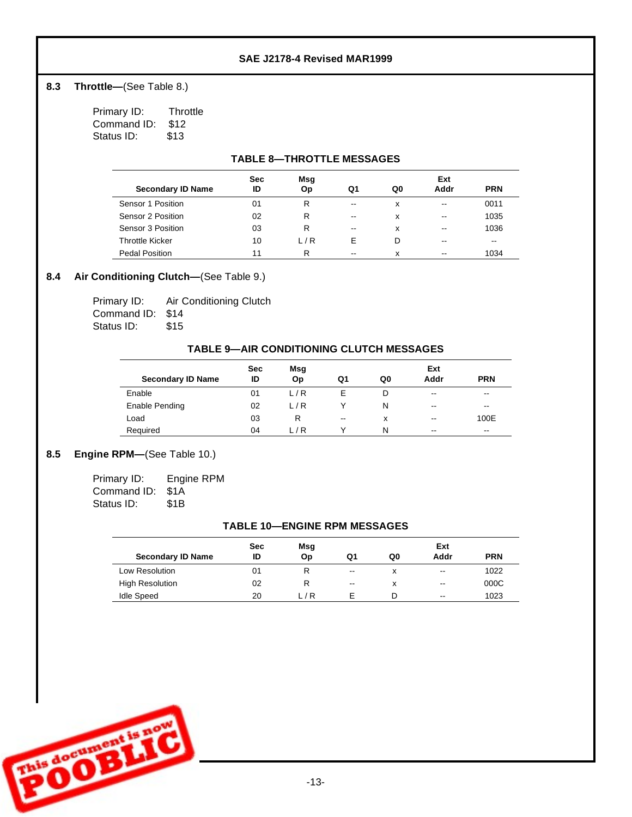## 8.3 **Throttle**—(See Table 8.)

| Primary ID: | Throttle |
|-------------|----------|
| Command ID: | \$12     |
| Status ID:  | \$13     |

## **TABLE 8— THROTTLE MESSAGES**

|                          | <b>Sec</b> | Msg   |                          |    | Ext                      |            |
|--------------------------|------------|-------|--------------------------|----|--------------------------|------------|
| <b>Secondary ID Name</b> | ID         | Оp    | Q1                       | Q0 | Addr                     | <b>PRN</b> |
| Sensor 1 Position        | 01         | R     | $- -$                    | x  | $\overline{\phantom{m}}$ | 0011       |
| Sensor 2 Position        | 02         | R     | $- -$                    | x  | $- -$                    | 1035       |
| Sensor 3 Position        | 03         | R     | $\overline{\phantom{a}}$ | x  | --                       | 1036       |
| <b>Throttle Kicker</b>   | 10         | L / R | F                        | D  | --                       | $- -$      |
| Pedal Position           | 11         | R     | $- -$                    | x  | --                       | 1034       |

# **8.4 Air Conditioning Clutch—** (See Table 9.)

| Primary ID:      | Air Conditioning Clutch |
|------------------|-------------------------|
| Command ID: \$14 |                         |
| Status ID:       | \$15                    |

### **TABLE 9— AIR CONDITIONING CLUTCH MESSAGES**

|                          | <b>Sec</b> | Msg |                          |    | Ext                      |                          |
|--------------------------|------------|-----|--------------------------|----|--------------------------|--------------------------|
| <b>Secondary ID Name</b> | ID         | Op  | Q1                       | Q0 | Addr                     | <b>PRN</b>               |
| Enable                   | 01         | L/R | Е                        |    | $\overline{\phantom{m}}$ | $\overline{\phantom{a}}$ |
| Enable Pending           | 02         | L/R |                          | N  | $\overline{\phantom{m}}$ | $\overline{\phantom{a}}$ |
| Load                     | 03         | R   | $\overline{\phantom{a}}$ | x  | $\overline{\phantom{a}}$ | 100E                     |
| Required                 | 04         | L/R |                          | N  | $\overline{\phantom{m}}$ | $\overline{\phantom{a}}$ |

## 8.5 **Engine RPM**—(See Table 10.)

| Primary ID: | Engine RPM |
|-------------|------------|
| Command ID: | -S1A       |
| Status ID:  | \$1B       |

### **TABLE 10—ENGINE RPM MESSAGES**

| <b>Secondary ID Name</b> | <b>Sec</b><br>ID | Msg<br>Op | Q1                       | Q0 | Ext<br>Addr | <b>PRN</b> |
|--------------------------|------------------|-----------|--------------------------|----|-------------|------------|
| Low Resolution           | 01               |           | $\overline{\phantom{m}}$ | x  | $-$         | 1022       |
| <b>High Resolution</b>   | 02               |           | $-$                      | x  | $-$         | 000C       |
| <b>Idle Speed</b>        | 20               | ∟ / R     |                          | D  | $- -$       | 1023       |

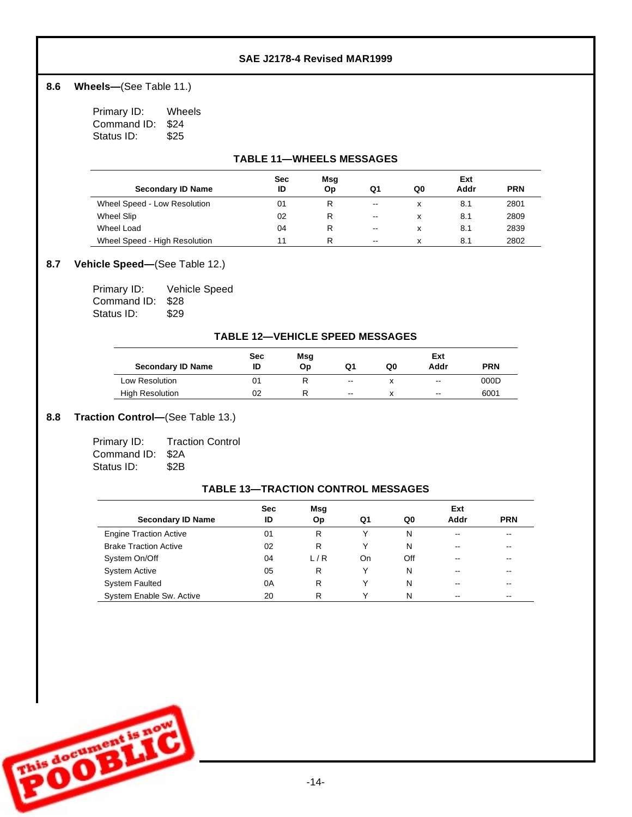## 8.6 **Wheels**—(See Table 11.)

Primary ID: Wheels Command ID: \$24 Status ID: \$25

### **TABLE 11— WHEELS MESSAGES**

|                               | <b>Sec</b> | Msg |                          |    | Ext  |            |
|-------------------------------|------------|-----|--------------------------|----|------|------------|
| <b>Secondary ID Name</b>      | ID         | Оp  | Q1                       | Q0 | Addr | <b>PRN</b> |
| Wheel Speed - Low Resolution  | 01         | R   | $\overline{\phantom{a}}$ |    | 8.1  | 2801       |
| Wheel Slip                    | 02         | R   | $\overline{\phantom{a}}$ |    | 8.1  | 2809       |
| Wheel Load                    | 04         | R   | $\overline{\phantom{a}}$ |    | 8.1  | 2839       |
| Wheel Speed - High Resolution | 11         | R   | $\overline{\phantom{a}}$ |    | 8.1  | 2802       |

### 8.7 **Vehicle Speed**—(See Table 12.)

| Primary ID:      | Vehicle Speed |
|------------------|---------------|
| Command ID: \$28 |               |
| Status ID:       | \$29          |

### **TABLE 12— VEHICLE SPEED MESSAGES**

|                          | <b>Sec</b> | Msg |                          |    | Ext                      |            |
|--------------------------|------------|-----|--------------------------|----|--------------------------|------------|
| <b>Secondary ID Name</b> | ID         | Op  | Q1                       | Q0 | Addr                     | <b>PRN</b> |
| Low Resolution           | 01         |     | $\overline{\phantom{a}}$ |    | $\overline{\phantom{a}}$ | 000D       |
| <b>High Resolution</b>   | 02         |     | $\overline{\phantom{a}}$ |    | $\overline{\phantom{a}}$ | 6001       |

### 8.8 **Traction Control**—(See Table 13.)

| Primary ID:      | <b>Traction Control</b> |
|------------------|-------------------------|
| Command ID: \$2A |                         |
| Status ID:       | \$2B                    |

## **TABLE 13— TRACTION CONTROL MESSAGES**

| <b>Secondary ID Name</b>      | <b>Sec</b><br>ID | Msg<br>Op | Q1 | Q0  | Ext<br>Addr              | <b>PRN</b>               |
|-------------------------------|------------------|-----------|----|-----|--------------------------|--------------------------|
| <b>Engine Traction Active</b> | 01               | R         |    | N   | $\overline{\phantom{a}}$ | $\overline{\phantom{a}}$ |
| <b>Brake Traction Active</b>  | 02               | R         |    | N   | $- -$                    | $- -$                    |
| System On/Off                 | 04               | L/R       | On | Off | --                       | $- -$                    |
| <b>System Active</b>          | 05               | R         |    | N   | $- -$                    | $\overline{\phantom{m}}$ |
| <b>System Faulted</b>         | 0A               | R         |    | N   | $-1$                     | $\overline{\phantom{m}}$ |
| System Enable Sw. Active      | 20               | R         |    | N   | --                       | $\overline{\phantom{m}}$ |

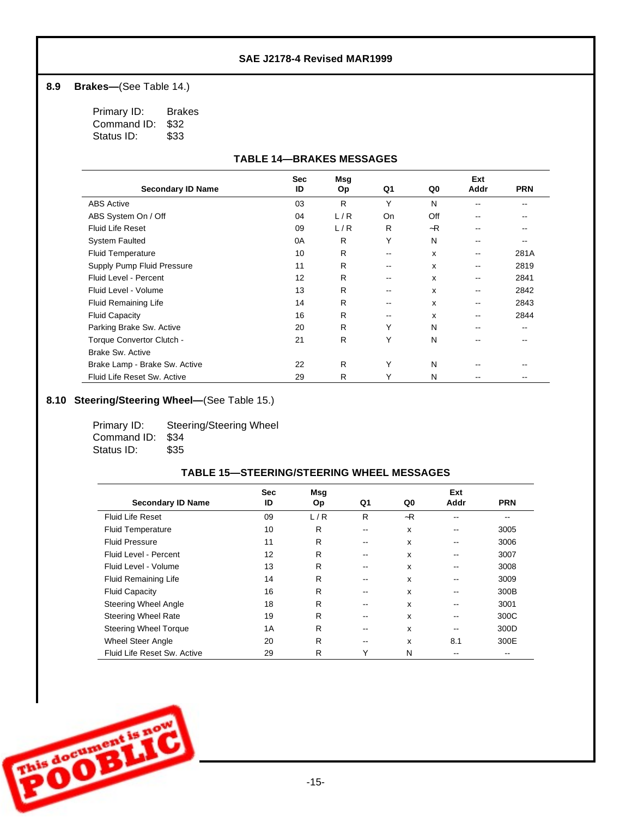### 8.9 **Brakes**—(See Table 14.)

Primary ID: Brakes Command ID: \$32<br>Status ID: \$33 Status ID:

### **TABLE 14— BRAKES MESSAGES**

|                               | <b>Sec</b> | Msg |       |                           | Ext  |            |
|-------------------------------|------------|-----|-------|---------------------------|------|------------|
| <b>Secondary ID Name</b>      | ID         | Op  | Q1    | Q0                        | Addr | <b>PRN</b> |
| <b>ABS Active</b>             | 03         | R   | Y     | N                         |      |            |
| ABS System On / Off           | 04         | L/R | On    | Off                       | --   |            |
| <b>Fluid Life Reset</b>       | 09         | L/R | R     | $-R$                      |      |            |
| <b>System Faulted</b>         | 0A         | R   | Y     | N                         | --   |            |
| <b>Fluid Temperature</b>      | 10         | R   | $- -$ | X                         | --   | 281A       |
| Supply Pump Fluid Pressure    | 11         | R   | --    | X                         | --   | 2819       |
| Fluid Level - Percent         | 12         | R   | --    | x                         | --   | 2841       |
| Fluid Level - Volume          | 13         | R   | --    | x                         | --   | 2842       |
| <b>Fluid Remaining Life</b>   | 14         | R   | --    | $\boldsymbol{\mathsf{x}}$ | --   | 2843       |
| <b>Fluid Capacity</b>         | 16         | R   | --    | x                         | --   | 2844       |
| Parking Brake Sw. Active      | 20         | R   | Υ     | N                         | --   |            |
| Torque Convertor Clutch -     | 21         | R   | Υ     | N                         |      |            |
| <b>Brake Sw. Active</b>       |            |     |       |                           |      |            |
| Brake Lamp - Brake Sw. Active | 22         | R   | Υ     | N                         | --   |            |
| Fluid Life Reset Sw. Active   | 29         | R   | Υ     | N                         |      |            |

# 8.10 **Steering/Steering Wheel**—(See Table 15.)

| Primary ID:      | Steering/Steering Wheel |
|------------------|-------------------------|
| Command ID: \$34 |                         |
| Status ID:       | \$35                    |

| <b>Secondary ID Name</b>     | <b>Sec</b><br>ID | Msg<br>Op | Q1 | Q0   | Ext<br>Addr | <b>PRN</b> |
|------------------------------|------------------|-----------|----|------|-------------|------------|
| <b>Fluid Life Reset</b>      | 09               | L/R       | R  | $-R$ |             |            |
| <b>Fluid Temperature</b>     | 10               | R         | -- | X    | --          | 3005       |
| <b>Fluid Pressure</b>        | 11               | R         | -- | x    |             | 3006       |
| Fluid Level - Percent        | 12               | R         | -- | x    |             | 3007       |
| Fluid Level - Volume         | 13               | R         |    | x    | --          | 3008       |
| <b>Fluid Remaining Life</b>  | 14               | R         | -- | x    | --          | 3009       |
| <b>Fluid Capacity</b>        | 16               | R         |    | x    |             | 300B       |
| Steering Wheel Angle         | 18               | R         |    | x    |             | 3001       |
| <b>Steering Wheel Rate</b>   | 19               | R         |    | X    | --          | 300C       |
| <b>Steering Wheel Torque</b> | 1A               | R         | -- | x    |             | 300D       |
| <b>Wheel Steer Angle</b>     | 20               | R         | -- | x    | 8.1         | 300E       |
| Fluid Life Reset Sw. Active  | 29               | R         | Υ  | N    |             | --         |

### **TABLE 15— STEERING/STEERING WHEEL MESSAGES**

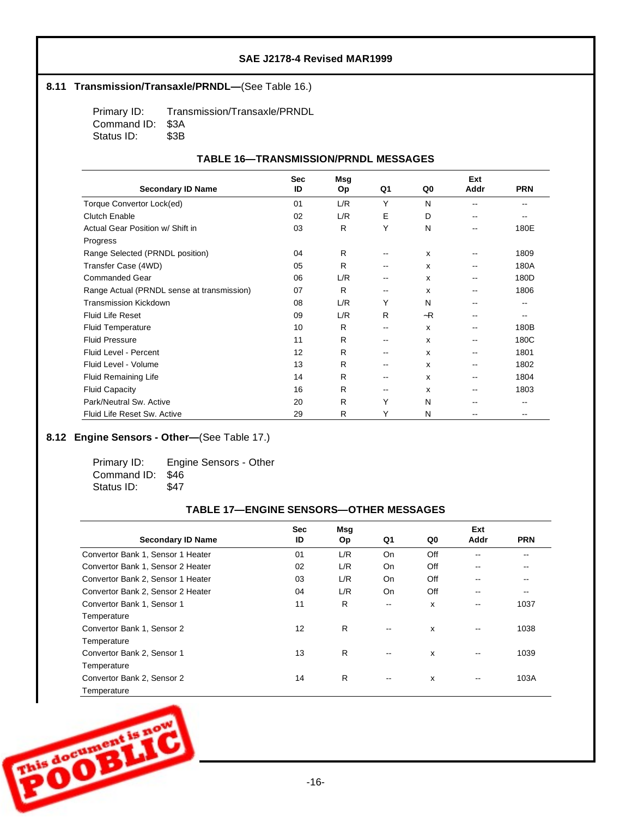### 8.11 **Transmission/Transaxle/PRNDL—**(See Table 16.)

Primary ID: Transmission/Transaxle/PRNDL Command ID: \$3A<br>Status ID: \$3B Status ID:

### **TABLE 16— TRANSMISSION/PRNDL MESSAGES**

|                                            | <b>Sec</b> | Msg |    |                           | Ext  |            |
|--------------------------------------------|------------|-----|----|---------------------------|------|------------|
| <b>Secondary ID Name</b>                   | ID         | Op  | Q1 | Q0                        | Addr | <b>PRN</b> |
| Torque Convertor Lock(ed)                  | 01         | L/R | Y  | N                         |      |            |
| <b>Clutch Enable</b>                       | 02         | L/R | E  | D                         | --   |            |
| Actual Gear Position w/ Shift in           | 03         | R   | Υ  | N                         | --   | 180E       |
| Progress                                   |            |     |    |                           |      |            |
| Range Selected (PRNDL position)            | 04         | R   | -- | $\boldsymbol{\mathsf{x}}$ | --   | 1809       |
| Transfer Case (4WD)                        | 05         | R   | -- | x                         | --   | 180A       |
| <b>Commanded Gear</b>                      | 06         | L/R | -- | X                         | --   | 180D       |
| Range Actual (PRNDL sense at transmission) | 07         | R   | -- | X                         | --   | 1806       |
| <b>Transmission Kickdown</b>               | 08         | L/R | Υ  | N                         | --   |            |
| <b>Fluid Life Reset</b>                    | 09         | L/R | R  | $-R$                      | --   |            |
| <b>Fluid Temperature</b>                   | 10         | R   | -- | x                         | --   | 180B       |
| <b>Fluid Pressure</b>                      | 11         | R   | -- | X                         | --   | 180C       |
| Fluid Level - Percent                      | 12         | R   | -- | x                         | --   | 1801       |
| Fluid Level - Volume                       | 13         | R   | -- | X                         | --   | 1802       |
| <b>Fluid Remaining Life</b>                | 14         | R   | -- | $\mathbf{x}$              | --   | 1804       |
| <b>Fluid Capacity</b>                      | 16         | R   | -- | X                         | --   | 1803       |
| Park/Neutral Sw. Active                    | 20         | R   | Y  | N                         |      |            |
| Fluid Life Reset Sw. Active                | 29         | R   | Y  | N                         | --   | --         |

## 8.12 **Engine Sensors - Other—** (See Table 17.)

Primary ID: Engine Sensors - Other Command ID: \$46 Status ID: \$47

### **TABLE 17— ENGINE SENSORS— OTHER MESSAGES**

|                                   | <b>Sec</b> | Msg       |                          |     | Ext                      |            |
|-----------------------------------|------------|-----------|--------------------------|-----|--------------------------|------------|
| <b>Secondary ID Name</b>          | ID         | <b>Op</b> | Q1                       | Q0  | Addr                     | <b>PRN</b> |
| Convertor Bank 1, Sensor 1 Heater | 01         | L/R       | On                       | Off | --                       | --         |
| Convertor Bank 1, Sensor 2 Heater | 02         | L/R       | On                       | Off | $\overline{\phantom{m}}$ | --         |
| Convertor Bank 2, Sensor 1 Heater | 03         | L/R       | On                       | Off | --                       | --         |
| Convertor Bank 2, Sensor 2 Heater | 04         | L/R       | On                       | Off | $\overline{\phantom{m}}$ | --         |
| Convertor Bank 1, Sensor 1        | 11         | R         | $\overline{\phantom{a}}$ | x   | $\qquad \qquad -$        | 1037       |
| Temperature                       |            |           |                          |     |                          |            |
| Convertor Bank 1, Sensor 2        | 12         | R         | $\overline{\phantom{a}}$ | x   | --                       | 1038       |
| Temperature                       |            |           |                          |     |                          |            |
| Convertor Bank 2, Sensor 1        | 13         | R         | $\overline{\phantom{a}}$ | X   | $\overline{\phantom{m}}$ | 1039       |
| Temperature                       |            |           |                          |     |                          |            |
| Convertor Bank 2, Sensor 2        | 14         | R         | $\overline{\phantom{a}}$ | x   | --                       | 103A       |
| Temperature                       |            |           |                          |     |                          |            |

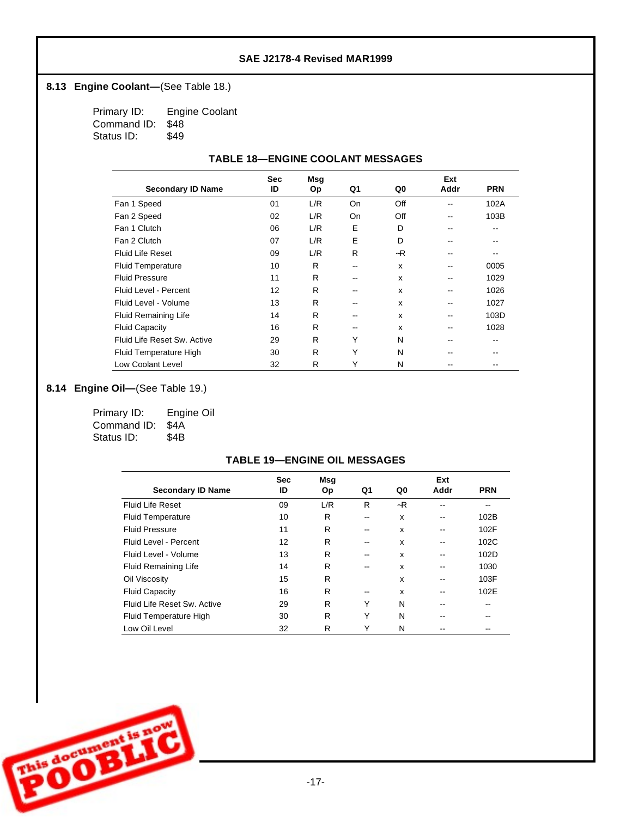## 8.13 **Engine Coolant**—(See Table 18.)

Primary ID: Engine Coolant Command ID: \$48 Status ID: \$49

### **TABLE 18— ENGINE COOLANT MESSAGES**

|                             | <b>Sec</b> | Msg |       |      | Ext  |            |
|-----------------------------|------------|-----|-------|------|------|------------|
| <b>Secondary ID Name</b>    | ID         | Op  | Q1    | Q0   | Addr | <b>PRN</b> |
| Fan 1 Speed                 | 01         | L/R | On    | Off  | --   | 102A       |
| Fan 2 Speed                 | 02         | L/R | On    | Off  | --   | 103B       |
| Fan 1 Clutch                | 06         | L/R | Е     | D    | --   | --         |
| Fan 2 Clutch                | 07         | L/R | E     | D    | --   | $- -$      |
| <b>Fluid Life Reset</b>     | 09         | L/R | R     | $-R$ |      |            |
| <b>Fluid Temperature</b>    | 10         | R   | --    | x    | --   | 0005       |
| <b>Fluid Pressure</b>       | 11         | R   | $- -$ | x    | --   | 1029       |
| Fluid Level - Percent       | 12         | R   | --    | x    | --   | 1026       |
| Fluid Level - Volume        | 13         | R   | --    | x    | --   | 1027       |
| <b>Fluid Remaining Life</b> | 14         | R   | --    | x    | --   | 103D       |
| <b>Fluid Capacity</b>       | 16         | R   | $- -$ | x    | --   | 1028       |
| Fluid Life Reset Sw. Active | 29         | R   | Υ     | N    | --   | $- -$      |
| Fluid Temperature High      | 30         | R   | Υ     | N    |      | --         |
| <b>Low Coolant Level</b>    | 32         | R   | Υ     | N    |      |            |

# 8.14 **Engine Oil—** (See Table 19.)

| Primary ID:      | Engine Oil |
|------------------|------------|
| Command ID: \$4A |            |
| Status ID:       | \$4B       |

### **TABLE 19— ENGINE OIL MESSAGES**

|                             | <b>Sec</b> | Msg       |       |      | Ext  |            |
|-----------------------------|------------|-----------|-------|------|------|------------|
| <b>Secondary ID Name</b>    | ID         | <b>Op</b> | Q1    | Q0   | Addr | <b>PRN</b> |
| <b>Fluid Life Reset</b>     | 09         | L/R       | R     | $-R$ |      | --         |
| <b>Fluid Temperature</b>    | 10         | R         | --    | x    |      | 102B       |
| <b>Fluid Pressure</b>       | 11         | R         | --    | x    |      | 102F       |
| Fluid Level - Percent       | 12         | R         | --    | x    |      | 102C       |
| Fluid Level - Volume        | 13         | R         | --    | x    |      | 102D       |
| <b>Fluid Remaining Life</b> | 14         | R         | $- -$ | x    |      | 1030       |
| Oil Viscosity               | 15         | R         |       | x    |      | 103F       |
| <b>Fluid Capacity</b>       | 16         | R         | --    | x    |      | 102E       |
| Fluid Life Reset Sw. Active | 29         | R         | Υ     | N    |      |            |
| Fluid Temperature High      | 30         | R         | Υ     | N    |      |            |
| Low Oil Level               | 32         | R         | Υ     | N    |      |            |

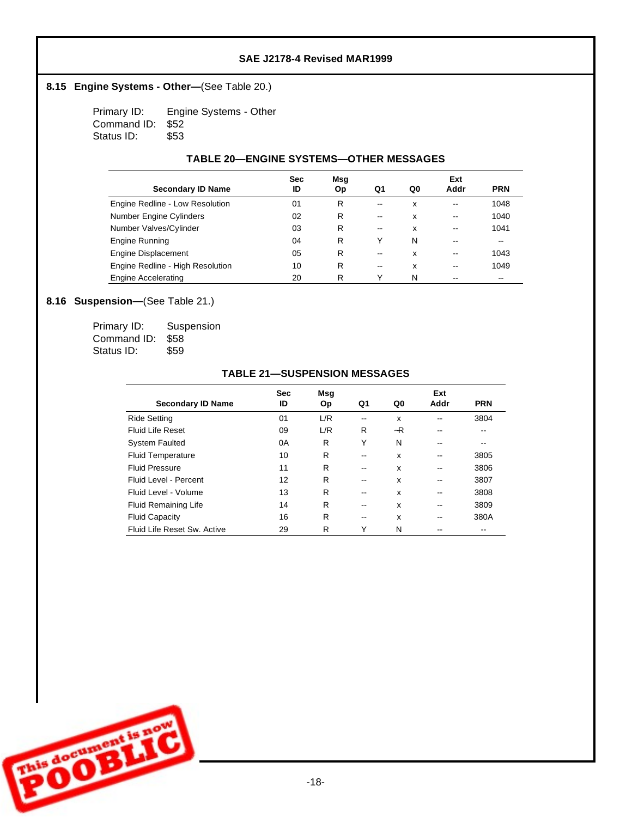### 8.15 **Engine Systems - Other—** (See Table 20.)

Primary ID: Engine Systems - Other Command ID: \$52 Status ID: \$53

### **TABLE 20— ENGINE SYSTEMS— OTHER MESSAGES**

|                                  | <b>Sec</b> | Msg |                   |    | Ext  |            |
|----------------------------------|------------|-----|-------------------|----|------|------------|
| <b>Secondary ID Name</b>         | ID         | 0p  | Q1                | Q0 | Addr | <b>PRN</b> |
| Engine Redline - Low Resolution  | 01         | R   | --                | x  |      | 1048       |
| Number Engine Cylinders          | 02         | R   | $\qquad \qquad -$ | x  |      | 1040       |
| Number Valves/Cylinder           | 03         | R   | $\qquad \qquad -$ | x  | --   | 1041       |
| Engine Running                   | 04         | R   | Y                 | N  |      | --         |
| Engine Displacement              | 05         | R   | $- -$             | x  | --   | 1043       |
| Engine Redline - High Resolution | 10         | R   | $\qquad \qquad -$ | x  | --   | 1049       |
| <b>Engine Accelerating</b>       | 20         | R   | ٧                 | N  |      | --         |

## 8.16 **Suspension**—(See Table 21.)

| Primary ID:      | Suspension |
|------------------|------------|
| Command ID: \$58 |            |
| Status ID:       | \$59       |

|                             | <b>Sec</b> | <b>Msq</b> |    |    | Ext  |            |
|-----------------------------|------------|------------|----|----|------|------------|
| <b>Secondary ID Name</b>    | ID         | Op         | Q1 | Q0 | Addr | <b>PRN</b> |
| Ride Setting                | 01         | L/R        |    | x  |      | 3804       |
| Fluid Life Reset            | 09         | L/R        | R  | ~R |      |            |
| System Faulted              | 0A         | R          | Y  | N  |      |            |
| <b>Fluid Temperature</b>    | 10         | R          | -- | x  |      | 3805       |
| Fluid Pressure              | 11         | R          | -- | x  |      | 3806       |
| Fluid Level - Percent       | 12         | R          | -- | x  |      | 3807       |
| Fluid Level - Volume        | 13         | R          |    | x  |      | 3808       |
| Fluid Remaining Life        | 14         | R          |    | x  |      | 3809       |
| <b>Fluid Capacity</b>       | 16         | R          | -- | x  |      | 380A       |
| Fluid Life Reset Sw. Active | 29         | R          | Υ  | N  |      | --         |

#### **TABLE 21— SUSPENSION MESSAGES**

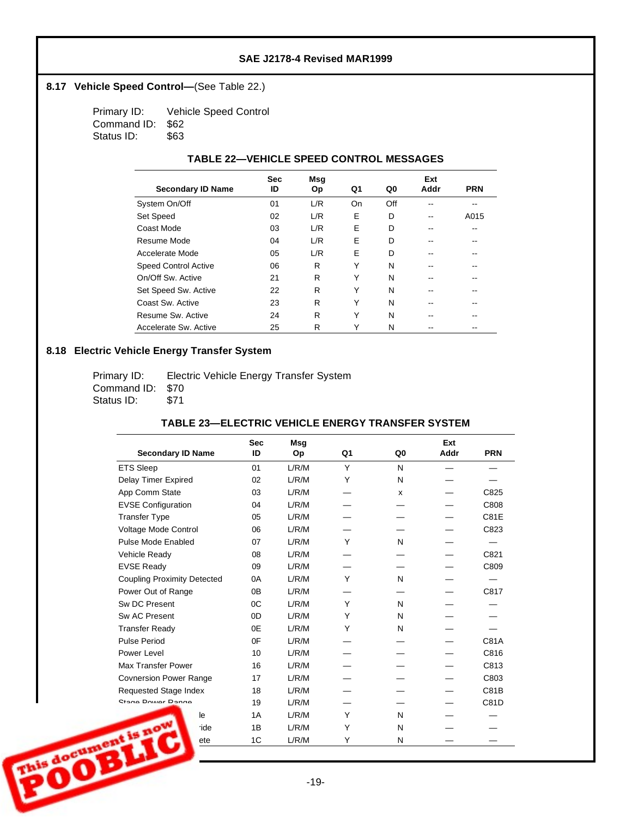## 8.17 Vehicle Speed Control-(See Table 22.)

Primary ID: Vehicle Speed Control Command ID: \$62 Status ID: \$63

#### **TABLE 22— VEHICLE SPEED CONTROL MESSAGES**

|                             | <b>Sec</b> | Msg |    |     | Ext  |            |
|-----------------------------|------------|-----|----|-----|------|------------|
| <b>Secondary ID Name</b>    | ID         | Оp  | Q1 | Q0  | Addr | <b>PRN</b> |
| System On/Off               | 01         | L/R | On | Off |      |            |
| <b>Set Speed</b>            | 02         | L/R | E  | D   |      | A015       |
| Coast Mode                  | 03         | L/R | E  | D   |      |            |
| Resume Mode                 | 04         | L/R | E  | D   | --   |            |
| Accelerate Mode             | 05         | L/R | E  | D   |      |            |
| <b>Speed Control Active</b> | 06         | R   | Υ  | N   |      |            |
| On/Off Sw. Active           | 21         | R   | Υ  | N   | --   | --         |
| Set Speed Sw. Active        | 22         | R   | Υ  | N   |      |            |
| Coast Sw. Active            | 23         | R   | Υ  | N   |      |            |
| Resume Sw. Active           | 24         | R   | Υ  | N   | --   |            |
| Accelerate Sw. Active       | 25         | R   | Υ  | N   |      |            |

## **8.18 Electric Vehicle Energy Transfer System**

| Primary ID:      | Electric Vehicle Energy Transfer System |
|------------------|-----------------------------------------|
| Command ID: \$70 |                                         |
| Status ID:       | -S71                                    |

#### **TABLE 23— ELECTRIC VEHICLE ENERGY TRANSFER SYSTEM**

|                                    | <b>Sec</b> | Msq       |    |                | Ext  |             |
|------------------------------------|------------|-----------|----|----------------|------|-------------|
| <b>Secondary ID Name</b>           | ID         | <b>Op</b> | Q1 | Q <sub>0</sub> | Addr | <b>PRN</b>  |
| <b>ETS Sleep</b>                   | 01         | L/R/M     | Y  | N              |      |             |
| <b>Delay Timer Expired</b>         | 02         | L/R/M     | Y  | N              |      |             |
| App Comm State                     | 03         | L/R/M     |    | X              |      | C825        |
| <b>EVSE Configuration</b>          | 04         | L/R/M     |    |                |      | C808        |
| <b>Transfer Type</b>               | 05         | L/R/M     |    |                |      | <b>C81E</b> |
| Voltage Mode Control               | 06         | L/R/M     |    |                |      | C823        |
| Pulse Mode Enabled                 | 07         | L/R/M     | Y  | N              |      |             |
| Vehicle Ready                      | 08         | L/R/M     |    |                |      | C821        |
| <b>EVSE Ready</b>                  | 09         | L/R/M     |    |                |      | C809        |
| <b>Coupling Proximity Detected</b> | 0A         | L/R/M     | Υ  | N              |      |             |
| Power Out of Range                 | 0B         | L/R/M     |    |                |      | C817        |
| Sw DC Present                      | OC         | L/R/M     | Y  | N              |      |             |
| Sw AC Present                      | 0D         | L/R/M     | Υ  | N              |      |             |
| <b>Transfer Ready</b>              | 0E         | L/R/M     | Υ  | N              |      |             |
| <b>Pulse Period</b>                | 0F         | L/R/M     |    |                |      | C81A        |
| Power Level                        | 10         | L/R/M     |    |                |      | C816        |
| <b>Max Transfer Power</b>          | 16         | L/R/M     |    |                |      | C813        |
| <b>Covnersion Power Range</b>      | 17         | L/R/M     |    |                |      | C803        |
| Requested Stage Index              | 18         | L/R/M     |    |                |      | C81B        |
| Ctono Doutor Donno                 | 19         | L/R/M     |    |                |      | C81D        |
| le                                 | 1A         | L/R/M     | Y  | N              |      |             |
| nt is now<br>ride                  | 1B         | L/R/M     | Υ  | N              |      |             |
| ete                                | 1C         | L/R/M     | Υ  | N              |      |             |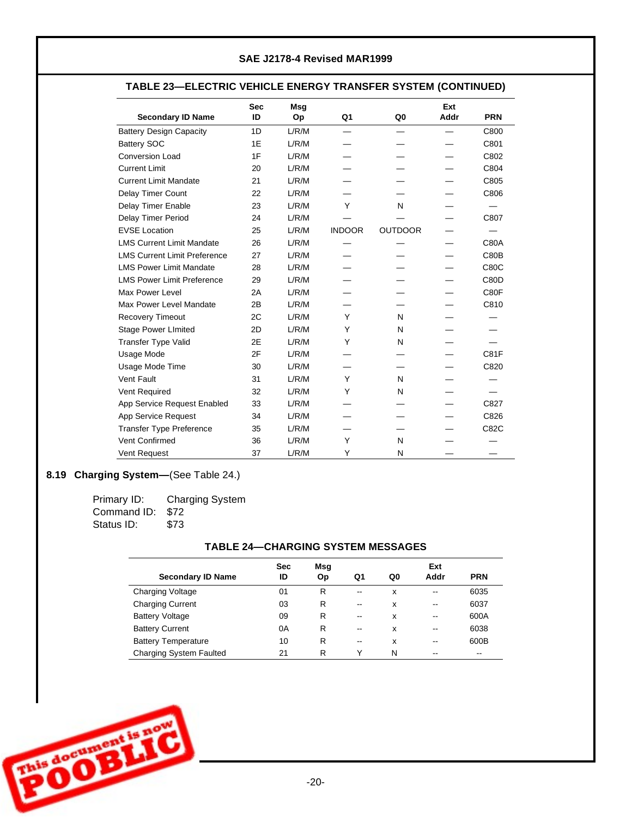## **TABLE 23— ELECTRIC VEHICLE ENERGY TRANSFER SYSTEM (CONTINUED)**

| <b>Secondary ID Name</b>            | <b>Sec</b><br>ID | <b>Msq</b><br>Op | Q1                       | Q <sub>0</sub> | Ext<br>Addr | <b>PRN</b>  |
|-------------------------------------|------------------|------------------|--------------------------|----------------|-------------|-------------|
| <b>Battery Design Capacity</b>      | 1D               | L/R/M            | $\overline{\phantom{0}}$ |                |             | C800        |
| <b>Battery SOC</b>                  | 1E               | L/R/M            |                          |                |             | C801        |
| <b>Conversion Load</b>              | 1F               | L/R/M            |                          |                |             | C802        |
| <b>Current Limit</b>                | 20               | L/R/M            |                          |                |             | C804        |
| <b>Current Limit Mandate</b>        | 21               | L/R/M            |                          |                |             | C805        |
| Delay Timer Count                   | 22               | L/R/M            |                          |                |             | C806        |
| Delay Timer Enable                  | 23               | L/R/M            | Y                        | N              |             |             |
| <b>Delay Timer Period</b>           | 24               | L/R/M            |                          |                |             | C807        |
| <b>EVSE Location</b>                | 25               | L/R/M            | <b>INDOOR</b>            | <b>OUTDOOR</b> |             |             |
| <b>LMS Current Limit Mandate</b>    | 26               | L/R/M            |                          |                |             | <b>C80A</b> |
| <b>LMS Current Limit Preference</b> | 27               | L/R/M            |                          |                |             | C80B        |
| <b>LMS Power Limit Mandate</b>      | 28               | L/R/M            |                          |                |             | C80C        |
| <b>LMS Power Limit Preference</b>   | 29               | L/R/M            |                          |                |             | C80D        |
| Max Power Level                     | 2A               | L/R/M            |                          |                |             | C80F        |
| Max Power Level Mandate             | 2B               | L/R/M            |                          |                |             | C810        |
| <b>Recovery Timeout</b>             | 2C               | L/R/M            | Υ                        | N              |             |             |
| <b>Stage Power LImited</b>          | 2D               | L/R/M            | Y                        | N              |             |             |
| <b>Transfer Type Valid</b>          | 2E               | L/R/M            | Υ                        | N              |             |             |
| Usage Mode                          | 2F               | L/R/M            |                          |                |             | C81F        |
| Usage Mode Time                     | 30               | L/R/M            |                          |                |             | C820        |
| Vent Fault                          | 31               | L/R/M            | Y                        | N              |             |             |
| Vent Required                       | 32               | L/R/M            | Υ                        | N              |             |             |
| App Service Request Enabled         | 33               | L/R/M            |                          |                |             | C827        |
| App Service Request                 | 34               | L/R/M            |                          |                |             | C826        |
| <b>Transfer Type Preference</b>     | 35               | L/R/M            |                          |                |             | C82C        |
| Vent Confirmed                      | 36               | L/R/M            | Y                        | N              |             |             |
| Vent Request                        | 37               | L/R/M            | Y                        | N              |             |             |

# 8.19 **Charging System**—(See Table 24.)

| Primary ID:      | <b>Charging System</b> |
|------------------|------------------------|
| Command ID: \$72 |                        |
| Status ID:       | \$73                   |

### **TABLE 24— CHARGING SYSTEM MESSAGES**

| <b>Secondary ID Name</b>       | <b>Sec</b><br>ID | Msg<br>Op | Q1                       | Q0 | Ext<br>Addr | <b>PRN</b> |
|--------------------------------|------------------|-----------|--------------------------|----|-------------|------------|
| <b>Charging Voltage</b>        | 01               | R         | $\overline{\phantom{m}}$ | x  | --          | 6035       |
| <b>Charging Current</b>        | 03               | R         | $\overline{\phantom{m}}$ | x  | --          | 6037       |
| <b>Battery Voltage</b>         | 09               | R         | $\overline{\phantom{m}}$ | x  | --          | 600A       |
| <b>Battery Current</b>         | 0A               | R         | $- -$                    | x  | --          | 6038       |
| <b>Battery Temperature</b>     | 10               | R         | --                       | x  | --          | 600B       |
| <b>Charging System Faulted</b> | 21               | R         | ٧                        | N  | --          | --         |

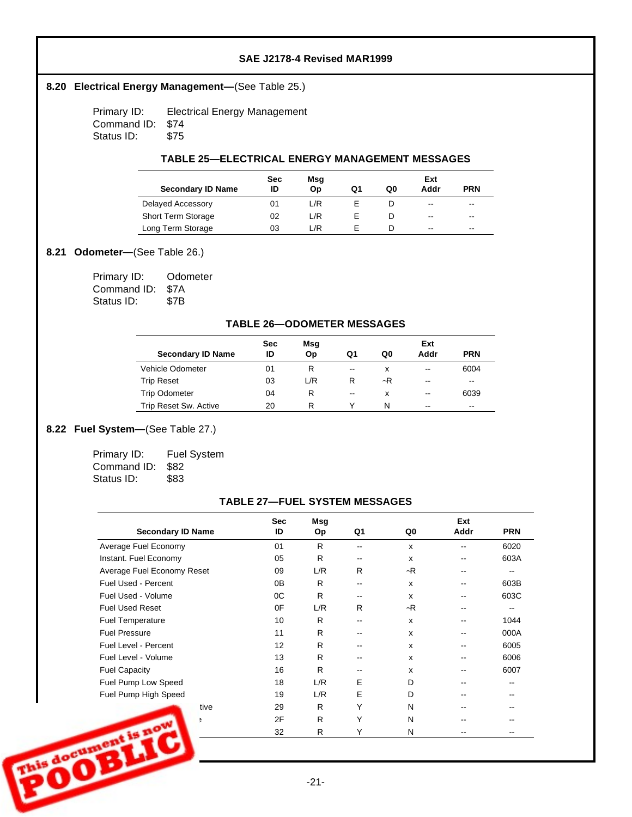### 8.20 **Electrical Energy Management**—(See Table 25.)

Primary ID: Electrical Energy Management Command ID: \$74 Status ID: \$75

#### **TABLE 25— ELECTRICAL ENERGY MANAGEMENT MESSAGES**

| <b>Secondary ID Name</b>  | <b>Sec</b><br>ID | Msg<br>Op | Q1 | Q0 | Ext<br>Addr | <b>PRN</b> |
|---------------------------|------------------|-----------|----|----|-------------|------------|
| Delayed Accessory         | 01               | /R        |    |    | $-1$        | $- -$      |
| <b>Short Term Storage</b> | 02               | L/R       |    |    | $-1$        | $- -$      |
| Long Term Storage         | 03               | _/R       |    |    | $-1$        | $- -$      |

### 8.21 **Odometer—** (See Table 26.)

| Primary ID:      | Odometer |
|------------------|----------|
| Command ID: \$7A |          |
| Status ID:       | \$7B     |

### **TABLE 26— ODOMETER MESSAGES**

|                          | <b>Sec</b> | Msg |                          |    | Ext   |            |
|--------------------------|------------|-----|--------------------------|----|-------|------------|
| <b>Secondary ID Name</b> | ID         | Op  | Q1                       | Q0 | Addr  | <b>PRN</b> |
| Vehicle Odometer         | 01         | R   | $\overline{\phantom{a}}$ | x  | $- -$ | 6004       |
| <b>Trip Reset</b>        | 03         | L/R | R                        | ~R | $- -$ | $- -$      |
| <b>Trip Odometer</b>     | 04         | R   | $\overline{\phantom{a}}$ | x  | $- -$ | 6039       |
| Trip Reset Sw. Active    | 20         | R   |                          | N  | $- -$ | $- -$      |

## 8.22 Fuel System-(See Table 27.)

| Primary ID:      | <b>Fuel System</b> |
|------------------|--------------------|
| Command ID: \$82 |                    |
| Status ID:       | \$83               |

#### **TABLE 27— FUEL SYSTEM MESSAGES**

| <b>Secondary ID Name</b>   | <b>Sec</b><br>ID | Msg<br><b>Op</b> | Q1    | Q0   | Ext<br>Addr | <b>PRN</b> |
|----------------------------|------------------|------------------|-------|------|-------------|------------|
| Average Fuel Economy       | 01               | R                | --    | x    |             | 6020       |
| Instant. Fuel Economy      | 05               | R                | --    | X    |             | 603A       |
| Average Fuel Economy Reset | 09               | L/R              | R     | $-R$ |             | --         |
| <b>Fuel Used - Percent</b> | 0B               | R                | --    | X    |             | 603B       |
| Fuel Used - Volume         | 0C               | R                | $- -$ | x    |             | 603C       |
| <b>Fuel Used Reset</b>     | 0F               | L/R              | R     | $-R$ |             | --         |
| <b>Fuel Temperature</b>    | 10               | R                | --    | X    |             | 1044       |
| <b>Fuel Pressure</b>       | 11               | R                | --    | X    |             | 000A       |
| Fuel Level - Percent       | 12               | R                | --    | X    |             | 6005       |
| Fuel Level - Volume        | 13               | R                | --    | X    |             | 6006       |
| <b>Fuel Capacity</b>       | 16               | R                | --    | x    |             | 6007       |
| Fuel Pump Low Speed        | 18               | L/R              | E     | D    |             |            |
| Fuel Pump High Speed       | 19               | L/R              | E     | D    |             |            |
| tive                       | 29               | R                | Υ     | N    |             |            |
| £                          | 2F               | R                | Υ     | N    |             |            |
| ant is now                 | 32               | R                | Y     | N    |             |            |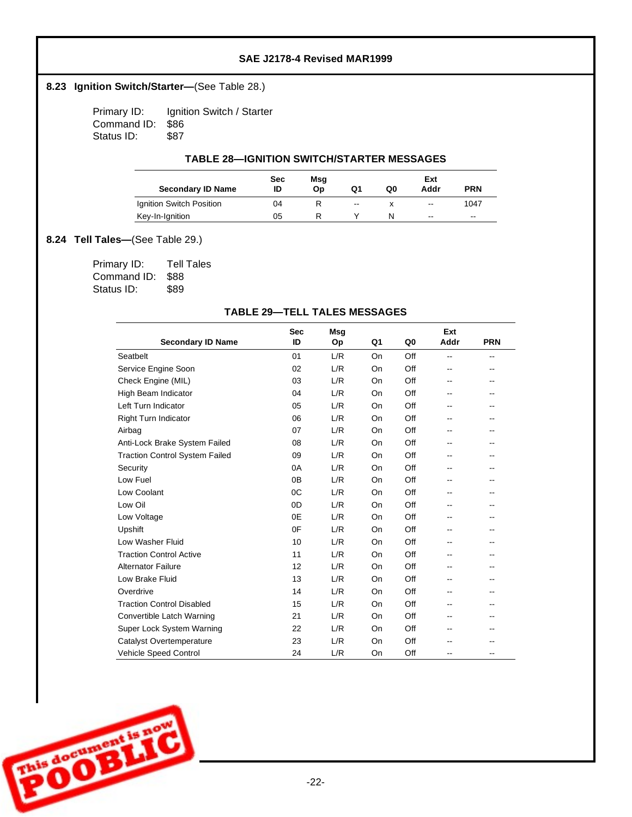## 8.23 **Ignition Switch/Starter**—(See Table 28.)

Primary ID: Ignition Switch / Starter Command ID: \$86 Status ID: \$87

#### **TABLE 28— IGNITION SWITCH/STARTER MESSAGES**

| <b>Secondary ID Name</b> | Sec<br>ID | Msg<br>Op | Q1  | Q0 | Ext<br>Addr              | <b>PRN</b> |
|--------------------------|-----------|-----------|-----|----|--------------------------|------------|
| Ignition Switch Position | 04        | R         | $-$ |    | $\overline{\phantom{a}}$ | 1047       |
| Key-In-Ignition          | 05        | R         |     | N  | $-$                      | $- -$      |

## **8.24 Tell Tales—(See Table 29.)**

| Primary ID:      | <b>Tell Tales</b> |
|------------------|-------------------|
| Command ID: \$88 |                   |
| Status ID:       | \$89              |

### **TABLE 29— TELL TALES MESSAGES**

|                                       | <b>Sec</b> | <b>Msg</b> |    |     | Ext  |                          |
|---------------------------------------|------------|------------|----|-----|------|--------------------------|
| <b>Secondary ID Name</b>              | ID         | Op         | Q1 | Q0  | Addr | <b>PRN</b>               |
| Seatbelt                              | 01         | L/R        | On | Off | --   | $\overline{\phantom{a}}$ |
| Service Engine Soon                   | 02         | L/R        | On | Off | --   |                          |
| Check Engine (MIL)                    | 03         | L/R        | On | Off | --   |                          |
| High Beam Indicator                   | 04         | L/R        | On | Off | --   |                          |
| Left Turn Indicator                   | 05         | L/R        | On | Off | --   |                          |
| <b>Right Turn Indicator</b>           | 06         | L/R        | On | Off | --   |                          |
| Airbag                                | 07         | L/R        | On | Off | --   | $- -$                    |
| Anti-Lock Brake System Failed         | 08         | L/R        | On | Off | --   |                          |
| <b>Traction Control System Failed</b> | 09         | L/R        | On | Off | --   |                          |
| Security                              | 0A         | L/R        | On | Off | --   | --                       |
| Low Fuel                              | 0B         | L/R        | On | Off | --   |                          |
| Low Coolant                           | 0C         | L/R        | On | Off | --   |                          |
| Low Oil                               | 0D         | L/R        | On | Off | --   |                          |
| Low Voltage                           | 0E         | L/R        | On | Off | --   | $-$                      |
| Upshift                               | 0F         | L/R        | On | Off | --   | --                       |
| Low Washer Fluid                      | 10         | L/R        | On | Off | --   |                          |
| <b>Traction Control Active</b>        | 11         | L/R        | On | Off | --   |                          |
| <b>Alternator Failure</b>             | 12         | L/R        | On | Off | --   | $-$                      |
| Low Brake Fluid                       | 13         | L/R        | On | Off | --   | --                       |
| Overdrive                             | 14         | L/R        | On | Off | --   |                          |
| <b>Traction Control Disabled</b>      | 15         | L/R        | On | Off | --   |                          |
| Convertible Latch Warning             | 21         | L/R        | On | Off | --   | $\overline{\phantom{a}}$ |
| Super Lock System Warning             | 22         | L/R        | On | Off | --   | --                       |
| Catalyst Overtemperature              | 23         | L/R        | On | Off |      |                          |
| <b>Vehicle Speed Control</b>          | 24         | L/R        | On | Off | --   |                          |

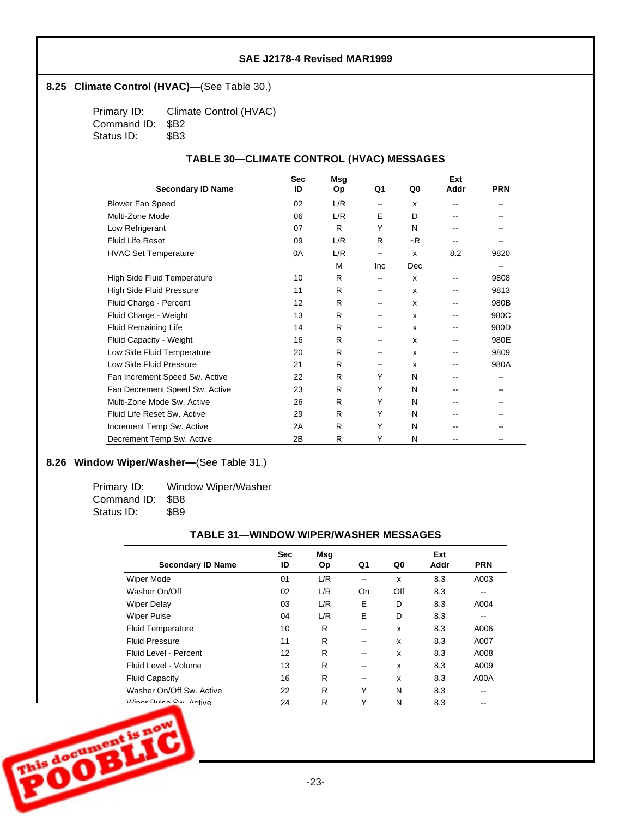### **8.25 Climate Control (HVAC)—(See Table 30.)**

Primary ID: Climate Control (HVAC) Command ID: \$B2 Status ID: \$B3

### **TABLE 30— CLIMATE CONTROL (HVAC) MESSAGES**

|                                | <b>Sec</b> | <b>Msg</b> |                          |              | Ext   |            |
|--------------------------------|------------|------------|--------------------------|--------------|-------|------------|
| <b>Secondary ID Name</b>       | ID         | <b>Op</b>  | Q1                       | Q0           | Addr  | <b>PRN</b> |
| <b>Blower Fan Speed</b>        | 02         | L/R        | $\overline{\phantom{a}}$ | X            | --    | --         |
| Multi-Zone Mode                | 06         | L/R        | E                        | D            | $- -$ |            |
| Low Refrigerant                | 07         | R          | Y                        | N            | $- -$ |            |
| <b>Fluid Life Reset</b>        | 09         | L/R        | R                        | $-R$         | $-$   |            |
| <b>HVAC Set Temperature</b>    | 0A         | L/R        | $\overline{\phantom{a}}$ | X            | 8.2   | 9820       |
|                                |            | M          | Inc                      | Dec          |       | --         |
| High Side Fluid Temperature    | 10         | R          | --                       | $\mathbf{x}$ | --    | 9808       |
| High Side Fluid Pressure       | 11         | R          | --                       | X            | $- -$ | 9813       |
| Fluid Charge - Percent         | 12         | R          | --                       | x            |       | 980B       |
| Fluid Charge - Weight          | 13         | R          | --                       | X            | --    | 980C       |
| <b>Fluid Remaining Life</b>    | 14         | R          |                          | $\mathsf{x}$ | --    | 980D       |
| Fluid Capacity - Weight        | 16         | R.         |                          | X            | --    | 980E       |
| Low Side Fluid Temperature     | 20         | R.         | --                       | X            | $- -$ | 9809       |
| Low Side Fluid Pressure        | 21         | R          | --                       | X            | --    | 980A       |
| Fan Increment Speed Sw. Active | 22         | R.         | Υ                        | N            | $- -$ | --         |
| Fan Decrement Speed Sw. Active | 23         | R          | Y                        | N            |       |            |
| Multi-Zone Mode Sw. Active     | 26         | R.         | Υ                        | N            | $-$   |            |
| Fluid Life Reset Sw. Active    | 29         | R.         | Υ                        | N            | $- -$ |            |
| Increment Temp Sw. Active      | 2A         | R.         | Υ                        | N            |       |            |
| Decrement Temp Sw. Active      | 2B         | R          | Y                        | N            |       |            |

## 8.26 Window Wiper/Washer-(See Table 31.)

Primary ID: Window Wiper/Washer Command ID: \$B8<br>Status ID: \$B9 Status ID:

#### **TABLE 31— WINDOW WIPER/WASHER MESSAGES**

|                          | <b>Sec</b> | Msg |    |     | Ext  |                          |
|--------------------------|------------|-----|----|-----|------|--------------------------|
| <b>Secondary ID Name</b> | ID         | Op  | Q1 | Q0  | Addr | <b>PRN</b>               |
| <b>Wiper Mode</b>        | 01         | L/R | -- | X   | 8.3  | A003                     |
| Washer On/Off            | 02         | L/R | On | Off | 8.3  | --                       |
| <b>Wiper Delay</b>       | 03         | L/R | E  | D   | 8.3  | A004                     |
| <b>Wiper Pulse</b>       | 04         | L/R | Е  | D   | 8.3  | $\overline{\phantom{m}}$ |
| <b>Fluid Temperature</b> | 10         | R   |    | X   | 8.3  | A006                     |
| <b>Fluid Pressure</b>    | 11         | R   | -- | X   | 8.3  | A007                     |
| Fluid Level - Percent    | 12         | R   | -- | X   | 8.3  | A008                     |
| Fluid Level - Volume     | 13         | R   | -- | X   | 8.3  | A009                     |
| <b>Fluid Capacity</b>    | 16         | R   | -- | X   | 8.3  | A00A                     |
| Washer On/Off Sw. Active | 22         | R   | Υ  | N   | 8.3  | --                       |
| Winner Dulco Cur Antive  | 24         | R   | Y  | N   | 8.3  | --                       |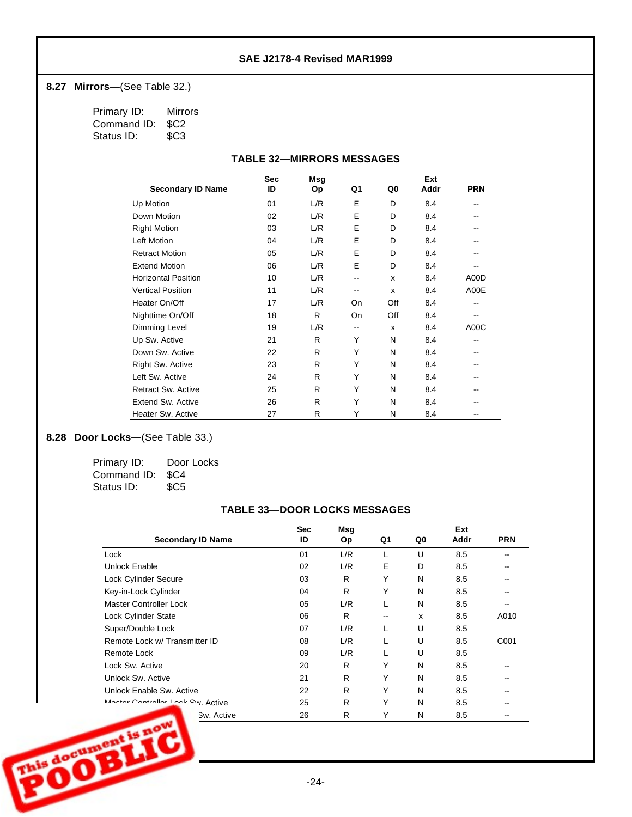## **8.27 Mirrors—** (See Table 32.)

Primary ID: Mirrors Command ID: \$C2<br>Status ID: \$C3 Status ID:

|                            | <b>Sec</b> | Msg |     |     | Ext  |            |
|----------------------------|------------|-----|-----|-----|------|------------|
| <b>Secondary ID Name</b>   | ID         | Op  | Q1  | Q0  | Addr | <b>PRN</b> |
| Up Motion                  | 01         | L/R | E   | D   | 8.4  | $- -$      |
| Down Motion                | 02         | L/R | E   | D   | 8.4  |            |
| <b>Right Motion</b>        | 03         | L/R | E   | D   | 8.4  |            |
| <b>Left Motion</b>         | 04         | L/R | E   | D   | 8.4  |            |
| <b>Retract Motion</b>      | 05         | L/R | E   | D   | 8.4  | --         |
| <b>Extend Motion</b>       | 06         | L/R | E   | D   | 8.4  | --         |
| <b>Horizontal Position</b> | 10         | L/R | --  | X   | 8.4  | A00D       |
| <b>Vertical Position</b>   | 11         | L/R | $-$ | X   | 8.4  | A00E       |
| Heater On/Off              | 17         | L/R | On  | Off | 8.4  | $- -$      |
| Nighttime On/Off           | 18         | R   | On  | Off | 8.4  | $- -$      |
| Dimming Level              | 19         | L/R | $-$ | X   | 8.4  | A00C       |
| Up Sw. Active              | 21         | R   | Υ   | N   | 8.4  | --         |
| Down Sw. Active            | 22         | R   | Υ   | N   | 8.4  | $- -$      |
| Right Sw. Active           | 23         | R   | Y   | N   | 8.4  | --         |
| Left Sw. Active            | 24         | R   | Y   | N   | 8.4  | --         |
| <b>Retract Sw. Active</b>  | 25         | R   | Υ   | N   | 8.4  | --         |
| <b>Extend Sw. Active</b>   | 26         | R   | Υ   | N   | 8.4  |            |
| Heater Sw. Active          | 27         | R   | Υ   | N   | 8.4  |            |

## 8.28 **Door Locks**—(See Table 33.)

| Primary ID:      | Door Locks      |
|------------------|-----------------|
| Command ID: \$C4 |                 |
| Status ID:       | SC <sub>5</sub> |

### **TABLE 33— DOOR LOCKS MESSAGES**

| <b>Sec</b> | Msg       |    |    | Ext  |            |
|------------|-----------|----|----|------|------------|
| ID         | <b>Op</b> | Q1 | Q0 | Addr | <b>PRN</b> |
| 01         | L/R       | L  | U  | 8.5  |            |
| 02         | L/R       | Е  | D  | 8.5  |            |
| 03         | R         | Υ  | N  | 8.5  |            |
| 04         | R         | Y  | N  | 8.5  |            |
| 05         | L/R       | L  | N  | 8.5  |            |
| 06         | R         | -- | x  | 8.5  | A010       |
| 07         | L/R       |    | U  | 8.5  |            |
| 08         | L/R       | L  | U  | 8.5  | C001       |
| 09         | L/R       |    | U  | 8.5  |            |
| 20         | R         | Υ  | N  | 8.5  |            |
| 21         | R         | Υ  | N  | 8.5  |            |
| 22         | R         | Υ  | N  | 8.5  |            |
| 25         | R         | Υ  | N  | 8.5  |            |
| 26         | R         | Υ  | N  | 8.5  |            |
|            |           |    |    |      |            |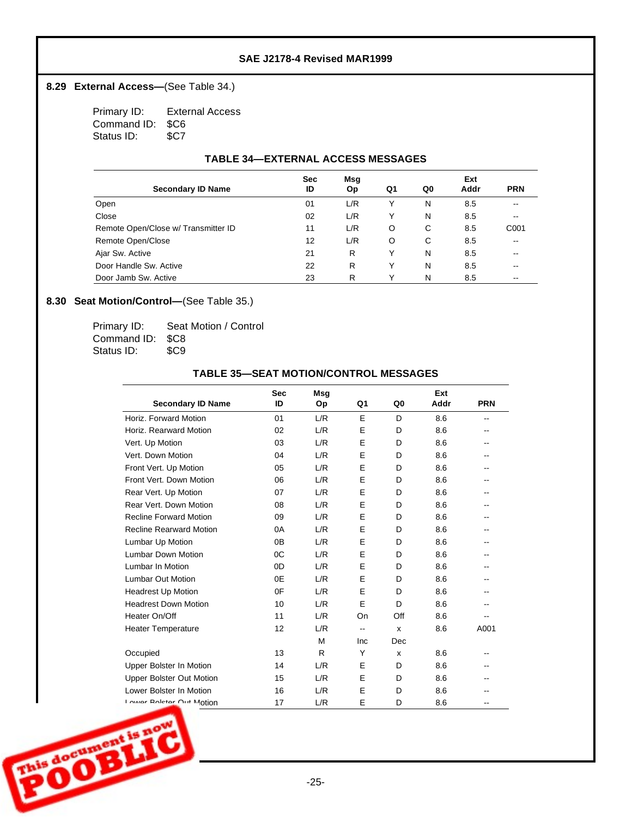## 8.29 **External Access**—(See Table 34.)

Primary ID: External Access Command ID: \$C6 Status ID: \$C7

### **TABLE 34— EXTERNAL ACCESS MESSAGES**

|                                     | <b>Sec</b> | Msg |    |    | Ext  |                          |
|-------------------------------------|------------|-----|----|----|------|--------------------------|
| <b>Secondary ID Name</b>            | ID         | Op  | Q1 | Q0 | Addr | <b>PRN</b>               |
| Open                                | 01         | L/R |    | N  | 8.5  | --                       |
| Close                               | 02         | L/R |    | N  | 8.5  | --                       |
| Remote Open/Close w/ Transmitter ID | 11         | L/R | O  | C  | 8.5  | C001                     |
| Remote Open/Close                   | 12         | L/R | O  | C  | 8.5  | --                       |
| Ajar Sw. Active                     | 21         | R   | Y  | N  | 8.5  | --                       |
| Door Handle Sw. Active              | 22         | R   |    | N  | 8.5  | --                       |
| Door Jamb Sw. Active                | 23         | R   |    | N  | 8.5  | $\overline{\phantom{m}}$ |

## 8.30 **Seat Motion/Control**—(See Table 35.)

| Primary ID:      | Seat Motion / Control |
|------------------|-----------------------|
| Command ID: \$C8 |                       |
| Status ID:       | \$C9                  |

### **TABLE 35— SEAT MOTION/CONTROL MESSAGES**

|                                 | <b>Sec</b> | Msg |     |     | Ext  |            |
|---------------------------------|------------|-----|-----|-----|------|------------|
| <b>Secondary ID Name</b>        | ID         | Op  | Q1  | Q0  | Addr | <b>PRN</b> |
| Horiz, Forward Motion           | 01         | L/R | E   | D   | 8.6  | --         |
| Horiz, Rearward Motion          | 02         | L/R | E   | D   | 8.6  |            |
| Vert. Up Motion                 | 03         | L/R | E   | D   | 8.6  | --         |
| Vert. Down Motion               | 04         | L/R | E   | D   | 8.6  | --         |
| Front Vert. Up Motion           | 05         | L/R | E   | D   | 8.6  |            |
| Front Vert. Down Motion         | 06         | L/R | E   | D   | 8.6  | --         |
| Rear Vert. Up Motion            | 07         | L/R | E   | D   | 8.6  |            |
| Rear Vert, Down Motion          | 08         | L/R | E   | D   | 8.6  | --         |
| <b>Recline Forward Motion</b>   | 09         | L/R | E   | D   | 8.6  | --         |
| <b>Recline Rearward Motion</b>  | 0A         | L/R | E   | D   | 8.6  |            |
| Lumbar Up Motion                | 0B         | L/R | E   | D   | 8.6  | --         |
| <b>Lumbar Down Motion</b>       | 0C         | L/R | E   | D   | 8.6  |            |
| Lumbar In Motion                | 0D         | L/R | E   | D   | 8.6  |            |
| <b>Lumbar Out Motion</b>        | 0E         | L/R | E   | D   | 8.6  |            |
| <b>Headrest Up Motion</b>       | 0F         | L/R | E   | D   | 8.6  | --         |
| <b>Headrest Down Motion</b>     | 10         | L/R | E   | D   | 8.6  | --         |
| Heater On/Off                   | 11         | L/R | On  | Off | 8.6  | --         |
| <b>Heater Temperature</b>       | 12         | L/R | --  | X   | 8.6  | A001       |
|                                 |            | M   | Inc | Dec |      |            |
| Occupied                        | 13         | R   | Y   | X   | 8.6  | --         |
| Upper Bolster In Motion         | 14         | L/R | E   | D   | 8.6  |            |
| <b>Upper Bolster Out Motion</b> | 15         | L/R | E   | D   | 8.6  | --         |
| Lower Bolster In Motion         | 16         | L/R | E   | D   | 8.6  | --         |
| I ower Poletor Out Motion       | 17         | L/R | E   | D   | 8.6  | --         |

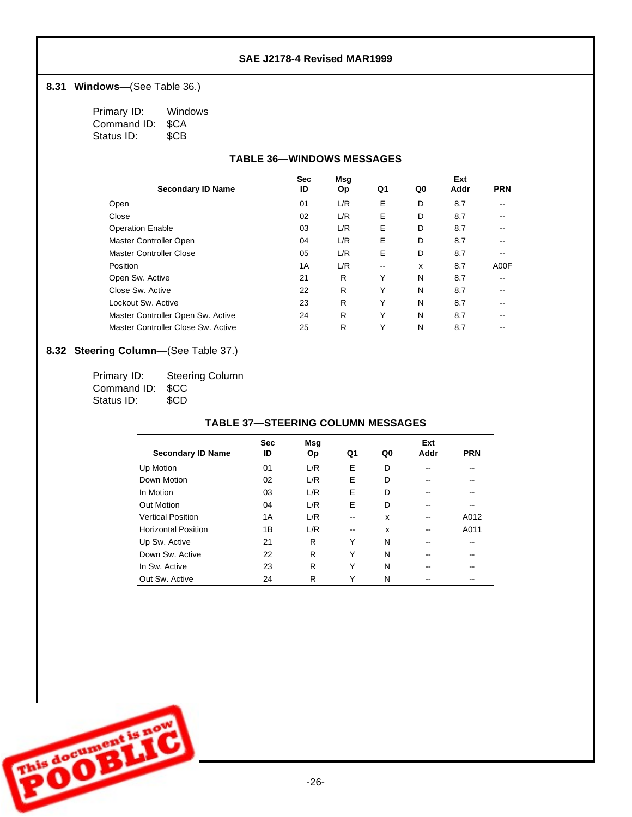## **8.31 Windows—(See Table 36.)**

| Primary ID: | Windows    |
|-------------|------------|
| Command ID: | <b>SCA</b> |
| Status ID:  | \$CB       |

### **TABLE 36— WINDOWS MESSAGES**

|                                    | <b>Sec</b> | Msg       |       |    | Ext  |            |
|------------------------------------|------------|-----------|-------|----|------|------------|
| <b>Secondary ID Name</b>           | ID         | <b>Op</b> | Q1    | Q0 | Addr | <b>PRN</b> |
| Open                               | 01         | L/R       | E     | D  | 8.7  |            |
| Close                              | 02         | L/R       | E     | D  | 8.7  | --         |
| <b>Operation Enable</b>            | 03         | L/R       | Е     | D  | 8.7  |            |
| Master Controller Open             | 04         | L/R       | Е     | D  | 8.7  | --         |
| Master Controller Close            | 05         | L/R       | E     | D  | 8.7  | --         |
| Position                           | 1A         | L/R       | $- -$ | x  | 8.7  | A00F       |
| Open Sw. Active                    | 21         | R         | Y     | N  | 8.7  | --         |
| Close Sw. Active                   | 22         | R         | Υ     | N  | 8.7  |            |
| Lockout Sw. Active                 | 23         | R         | Υ     | N  | 8.7  | --         |
| Master Controller Open Sw. Active  | 24         | R         | Υ     | N  | 8.7  |            |
| Master Controller Close Sw. Active | 25         | R         | Υ     | N  | 8.7  | --         |

## 8.32 **Steering Column**—(See Table 37.)

| Primary ID:      | <b>Steering Column</b> |
|------------------|------------------------|
| Command ID: \$CC |                        |
| Status ID:       | \$CD                   |

#### **TABLE 37— STEERING COLUMN MESSAGES**

|                            | <b>Sec</b> | <b>Msq</b> |    |    | Ext  |            |
|----------------------------|------------|------------|----|----|------|------------|
| <b>Secondary ID Name</b>   | ID         | Op         | Q1 | Q0 | Addr | <b>PRN</b> |
| Up Motion                  | 01         | L/R        | E  | D  |      |            |
| Down Motion                | 02         | L/R        | E  | D  |      |            |
| In Motion                  | 03         | L/R        | E  | D  |      |            |
| Out Motion                 | 04         | L/R        | Е  | D  |      | --         |
| <b>Vertical Position</b>   | 1А         | L/R        | -- | x  |      | A012       |
| <b>Horizontal Position</b> | 1B         | L/R        | -- | X  |      | A011       |
| Up Sw. Active              | 21         | R          | Υ  | N  |      |            |
| Down Sw. Active            | 22         | R          | Υ  | N  |      | --         |
| In Sw. Active              | 23         | R          | Υ  | N  |      | --         |
| Out Sw. Active             | 24         | R          | Υ  | N  |      | --         |

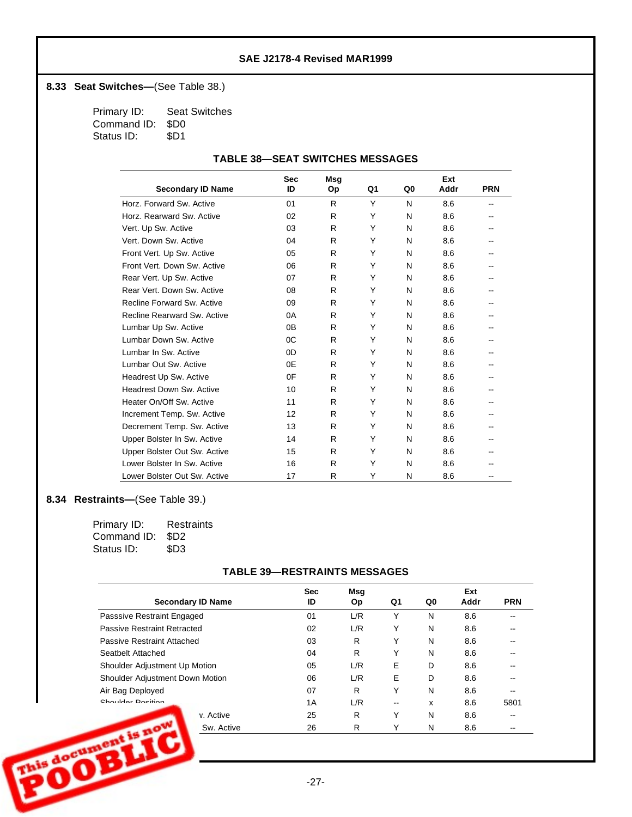## **8.33 Seat Switches—** (See Table 38.)

Primary ID: Seat Switches Command ID: \$D0 Status ID: \$D1

### **TABLE 38— SEAT SWITCHES MESSAGES**

|                                 | <b>Sec</b> | Msg |    |    | Ext  |            |
|---------------------------------|------------|-----|----|----|------|------------|
| <b>Secondary ID Name</b>        | ID         | Op  | Q1 | Q0 | Addr | <b>PRN</b> |
| Horz, Forward Sw. Active        | 01         | R   | Y  | N  | 8.6  | --         |
| Horz, Rearward Sw. Active       | 02         | R   | Y  | N  | 8.6  |            |
| Vert. Up Sw. Active             | 03         | R   | Y  | N  | 8.6  |            |
| Vert. Down Sw. Active           | 04         | R   | Y  | N  | 8.6  |            |
| Front Vert. Up Sw. Active       | 05         | R   | Y  | N  | 8.6  |            |
| Front Vert. Down Sw. Active     | 06         | R   | Y  | N  | 8.6  |            |
| Rear Vert. Up Sw. Active        | 07         | R   | Y  | N  | 8.6  |            |
| Rear Vert. Down Sw. Active      | 08         | R   | Y  | N  | 8.6  |            |
| Recline Forward Sw. Active      | 09         | R   | Y  | N  | 8.6  |            |
| Recline Rearward Sw. Active     | 0A         | R   | Y  | N  | 8.6  |            |
| Lumbar Up Sw. Active            | 0B         | R   | Y  | N  | 8.6  |            |
| Lumbar Down Sw. Active          | 0C         | R   | Y  | N  | 8.6  |            |
| Lumbar In Sw. Active            | 0D         | R   | Y  | N  | 8.6  |            |
| Lumbar Out Sw. Active           | 0E         | R   | Y  | N  | 8.6  |            |
| Headrest Up Sw. Active          | 0F         | R   | Y  | N  | 8.6  |            |
| <b>Headrest Down Sw. Active</b> | 10         | R   | Y  | N  | 8.6  |            |
| Heater On/Off Sw. Active        | 11         | R   | Y  | N  | 8.6  |            |
| Increment Temp. Sw. Active      | 12         | R   | Y  | N  | 8.6  |            |
| Decrement Temp. Sw. Active      | 13         | R   | Y  | N  | 8.6  |            |
| Upper Bolster In Sw. Active     | 14         | R   | Y  | N  | 8.6  |            |
| Upper Bolster Out Sw. Active    | 15         | R   | Y  | N  | 8.6  |            |
| Lower Bolster In Sw. Active     | 16         | R   | Y  | N  | 8.6  |            |
| Lower Bolster Out Sw. Active    | 17         | R   | Y  | N  | 8.6  | --         |

### **8.34 Restraints—** (See Table 39.)

| Primary ID:      | Restraints       |
|------------------|------------------|
| Command ID: \$D2 |                  |
| Status ID:       | \$D <sub>3</sub> |

### **TABLE 39— RESTRAINTS MESSAGES**

| <b>Secondary ID Name</b>          | <b>Sec</b><br>ID | Msg<br><b>Op</b> | Q1 | Q0 | Ext<br>Addr | <b>PRN</b> |
|-----------------------------------|------------------|------------------|----|----|-------------|------------|
| Passsive Restraint Engaged        | 01               | L/R              | Υ  | N  | 8.6         |            |
| Passive Restraint Retracted       | 02               | L/R              | Υ  | N  | 8.6         |            |
| Passive Restraint Attached        | 03               | R.               | Υ  | N  | 8.6         |            |
| Seatbelt Attached                 | 04               | R                | Υ  | N  | 8.6         |            |
| Shoulder Adjustment Up Motion     | 05               | L/R              | E  | D  | 8.6         |            |
| Shoulder Adjustment Down Motion   | 06               | L/R              | E  | D  | 8.6         |            |
| Air Bag Deployed                  | 07               | R                | Y  | N  | 8.6         |            |
| Chaulder Decition                 | 1A               | L/R              | -- | x  | 8.6         | 5801       |
| v. Active                         | 25               | R                | Υ  | N  | 8.6         |            |
| his document is now<br>Sw. Active | 26               | R                |    | N  | 8.6         |            |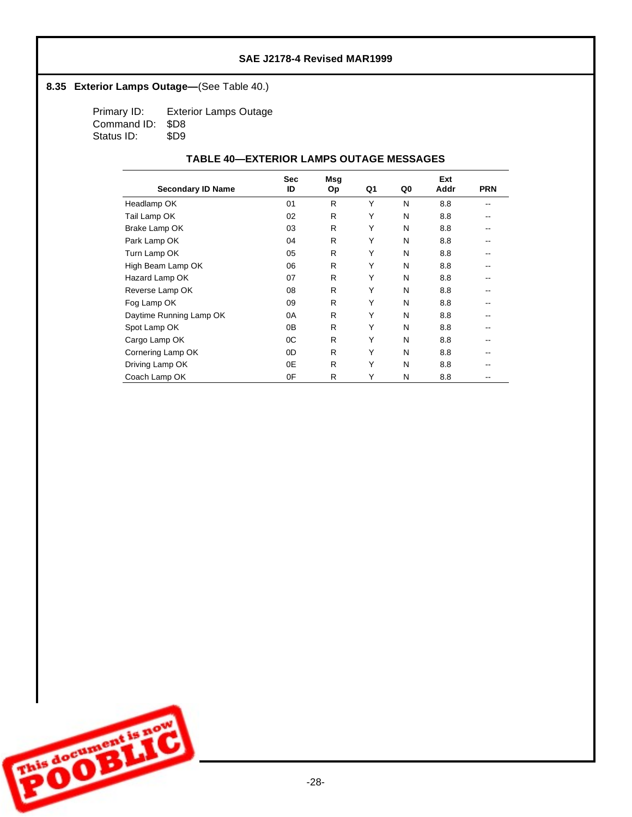## 8.35 **Exterior Lamps Outage—** (See Table 40.)

Primary ID: Exterior Lamps Outage Command ID: \$D8<br>Status ID: \$D9 Status ID:

### **TABLE 40—EXTERIOR LAMPS OUTAGE MESSAGES**

|                          | <b>Sec</b> | Msg |    |    | Ext  |            |
|--------------------------|------------|-----|----|----|------|------------|
| <b>Secondary ID Name</b> | ID         | Оp  | Q1 | Q0 | Addr | <b>PRN</b> |
| Headlamp OK              | 01         | R   | Υ  | N  | 8.8  |            |
| Tail Lamp OK             | 02         | R   | Y  | N  | 8.8  |            |
| Brake Lamp OK            | 03         | R   | Y  | N  | 8.8  |            |
| Park Lamp OK             | 04         | R   | Y  | N  | 8.8  |            |
| Turn Lamp OK             | 05         | R   | Y  | N  | 8.8  |            |
| High Beam Lamp OK        | 06         | R   | Y  | N  | 8.8  |            |
| Hazard Lamp OK           | 07         | R   | Υ  | N  | 8.8  |            |
| Reverse Lamp OK          | 08         | R   | Y  | N  | 8.8  |            |
| Fog Lamp OK              | 09         | R   | Y  | N  | 8.8  |            |
| Daytime Running Lamp OK  | 0A         | R   | Y  | N  | 8.8  |            |
| Spot Lamp OK             | 0B         | R   | Υ  | N  | 8.8  |            |
| Cargo Lamp OK            | 0C         | R   | Υ  | N  | 8.8  |            |
| Cornering Lamp OK        | 0D         | R   | Υ  | N  | 8.8  |            |
| Driving Lamp OK          | 0E         | R   | Υ  | N  | 8.8  |            |
| Coach Lamp OK            | 0F         | R   | Υ  | N  | 8.8  |            |

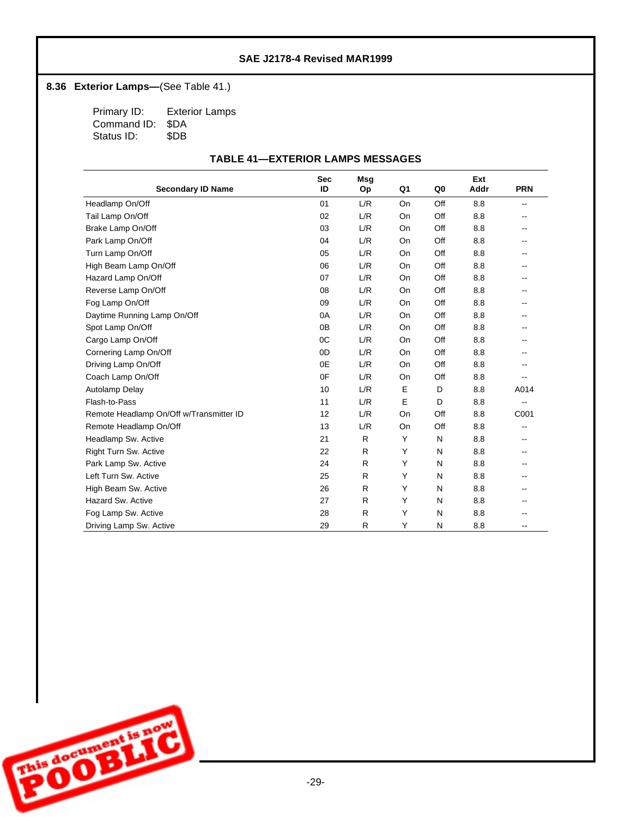## 8.36 **Exterior Lamps**—(See Table 41.)

Primary ID: Exterior Lamps Command ID: \$DA<br>Status ID: \$DB Status ID:

### **TABLE 41— EXTERIOR LAMPS MESSAGES**

|                                         | <b>Sec</b>     | Msg |           |     | Ext  |                          |
|-----------------------------------------|----------------|-----|-----------|-----|------|--------------------------|
| <b>Secondary ID Name</b>                | ID             | Op  | Q1        | Q0  | Addr | <b>PRN</b>               |
| Headlamp On/Off                         | 01             | L/R | <b>On</b> | Off | 8.8  | $\overline{\phantom{a}}$ |
| Tail Lamp On/Off                        | 02             | L/R | <b>On</b> | Off | 8.8  |                          |
| Brake Lamp On/Off                       | 03             | L/R | On        | Off | 8.8  |                          |
| Park Lamp On/Off                        | 04             | L/R | On        | Off | 8.8  |                          |
| Turn Lamp On/Off                        | 05             | L/R | <b>On</b> | Off | 8.8  |                          |
| High Beam Lamp On/Off                   | 06             | L/R | <b>On</b> | Off | 8.8  |                          |
| Hazard Lamp On/Off                      | 07             | L/R | On        | Off | 8.8  | $- -$                    |
| Reverse Lamp On/Off                     | 08             | L/R | <b>On</b> | Off | 8.8  |                          |
| Fog Lamp On/Off                         | 09             | L/R | On        | Off | 8.8  |                          |
| Daytime Running Lamp On/Off             | 0A             | L/R | On        | Off | 8.8  |                          |
| Spot Lamp On/Off                        | 0 <sub>B</sub> | L/R | <b>On</b> | Off | 8.8  |                          |
| Cargo Lamp On/Off                       | 0 <sub>C</sub> | L/R | <b>On</b> | Off | 8.8  |                          |
| Cornering Lamp On/Off                   | 0D             | L/R | <b>On</b> | Off | 8.8  |                          |
| Driving Lamp On/Off                     | 0E             | L/R | On        | Off | 8.8  |                          |
| Coach Lamp On/Off                       | 0F             | L/R | <b>On</b> | Off | 8.8  | --                       |
| Autolamp Delay                          | 10             | L/R | E         | D   | 8.8  | A014                     |
| Flash-to-Pass                           | 11             | L/R | E         | D   | 8.8  | $\overline{\phantom{a}}$ |
| Remote Headlamp On/Off w/Transmitter ID | 12             | L/R | On        | Off | 8.8  | C001                     |
| Remote Headlamp On/Off                  | 13             | L/R | <b>On</b> | Off | 8.8  |                          |
| Headlamp Sw. Active                     | 21             | R   | Y         | N   | 8.8  |                          |
| Right Turn Sw. Active                   | 22             | R.  | Y         | N   | 8.8  |                          |
| Park Lamp Sw. Active                    | 24             | R   | Y         | N   | 8.8  | --                       |
| Left Turn Sw. Active                    | 25             | R.  | Y         | N   | 8.8  |                          |
| High Beam Sw. Active                    | 26             | R.  | Y         | N   | 8.8  | --                       |
| Hazard Sw. Active                       | 27             | R   | Y         | N   | 8.8  |                          |
| Fog Lamp Sw. Active                     | 28             | R   | Υ         | N   | 8.8  |                          |
| Driving Lamp Sw. Active                 | 29             | R   | Y         | N   | 8.8  |                          |

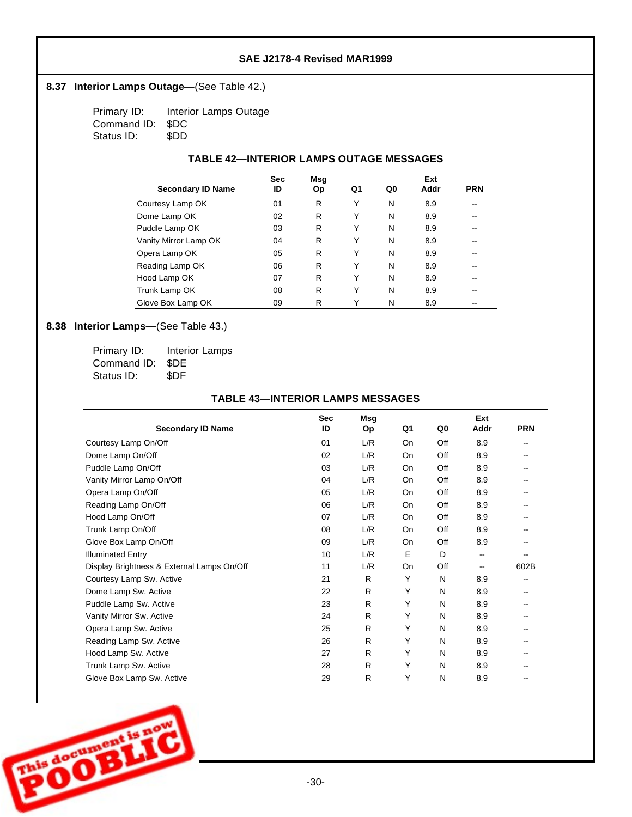## 8.37 **Interior Lamps Outage—** (See Table 42.)

Primary ID: Interior Lamps Outage Command ID: \$DC Status ID: \$DD

### **TABLE 42— INTERIOR LAMPS OUTAGE MESSAGES**

|                          | <b>Sec</b> | Msg |    |    | Ext  |            |
|--------------------------|------------|-----|----|----|------|------------|
| <b>Secondary ID Name</b> | ID         | Op  | Q1 | Q0 | Addr | <b>PRN</b> |
| Courtesy Lamp OK         | 01         | R   | Υ  | N  | 8.9  | --         |
| Dome Lamp OK             | 02         | R   | Υ  | N  | 8.9  | $- -$      |
| Puddle Lamp OK           | 03         | R   | Υ  | N  | 8.9  | --         |
| Vanity Mirror Lamp OK    | 04         | R   | Υ  | N  | 8.9  |            |
| Opera Lamp OK            | 05         | R   | Υ  | N  | 8.9  | --         |
| Reading Lamp OK          | 06         | R   | Υ  | N  | 8.9  | --         |
| Hood Lamp OK             | 07         | R   | Υ  | N  | 8.9  | --         |
| Trunk Lamp OK            | 08         | R   | Υ  | N  | 8.9  | --         |
| Glove Box Lamp OK        | 09         | R   | Y  | N  | 8.9  | --         |

### 8.38 **Interior Lamps**—(See Table 43.)

| Primary ID:      | <b>Interior Lamps</b> |
|------------------|-----------------------|
| Command ID: \$DE |                       |
| Status ID:       | \$DF                  |

#### **TABLE 43— INTERIOR LAMPS MESSAGES**

|                                            | <b>Sec</b> | Msg       |    |     | Ext  |                          |
|--------------------------------------------|------------|-----------|----|-----|------|--------------------------|
| <b>Secondary ID Name</b>                   | ID         | <b>Op</b> | Q1 | Q0  | Addr | <b>PRN</b>               |
| Courtesy Lamp On/Off                       | 01         | L/R       | On | Off | 8.9  | $\overline{\phantom{a}}$ |
| Dome Lamp On/Off                           | 02         | L/R       | On | Off | 8.9  | $- -$                    |
| Puddle Lamp On/Off                         | 03         | L/R       | On | Off | 8.9  |                          |
| Vanity Mirror Lamp On/Off                  | 04         | L/R       | On | Off | 8.9  | $-$                      |
| Opera Lamp On/Off                          | 05         | L/R       | On | Off | 8.9  |                          |
| Reading Lamp On/Off                        | 06         | L/R       | On | Off | 8.9  |                          |
| Hood Lamp On/Off                           | 07         | L/R       | On | Off | 8.9  | $- -$                    |
| Trunk Lamp On/Off                          | 08         | L/R       | On | Off | 8.9  |                          |
| Glove Box Lamp On/Off                      | 09         | L/R       | On | Off | 8.9  | --                       |
| <b>Illuminated Entry</b>                   | 10         | L/R       | Е  | D   | --   | --                       |
| Display Brightness & External Lamps On/Off | 11         | L/R       | On | Off | --   | 602B                     |
| Courtesy Lamp Sw. Active                   | 21         | R         | Y  | N   | 8.9  | --                       |
| Dome Lamp Sw. Active                       | 22         | R         | Y  | N   | 8.9  |                          |
| Puddle Lamp Sw. Active                     | 23         | R         | Υ  | N   | 8.9  | $\overline{\phantom{m}}$ |
| Vanity Mirror Sw. Active                   | 24         | R         | Υ  | N   | 8.9  | --                       |
| Opera Lamp Sw. Active                      | 25         | R         | Υ  | N   | 8.9  |                          |
| Reading Lamp Sw. Active                    | 26         | R         | Υ  | N   | 8.9  | $- -$                    |
| Hood Lamp Sw. Active                       | 27         | R         | Υ  | N   | 8.9  |                          |
| Trunk Lamp Sw. Active                      | 28         | R         | Υ  | N   | 8.9  |                          |
| Glove Box Lamp Sw. Active                  | 29         | R         | Υ  | N   | 8.9  |                          |

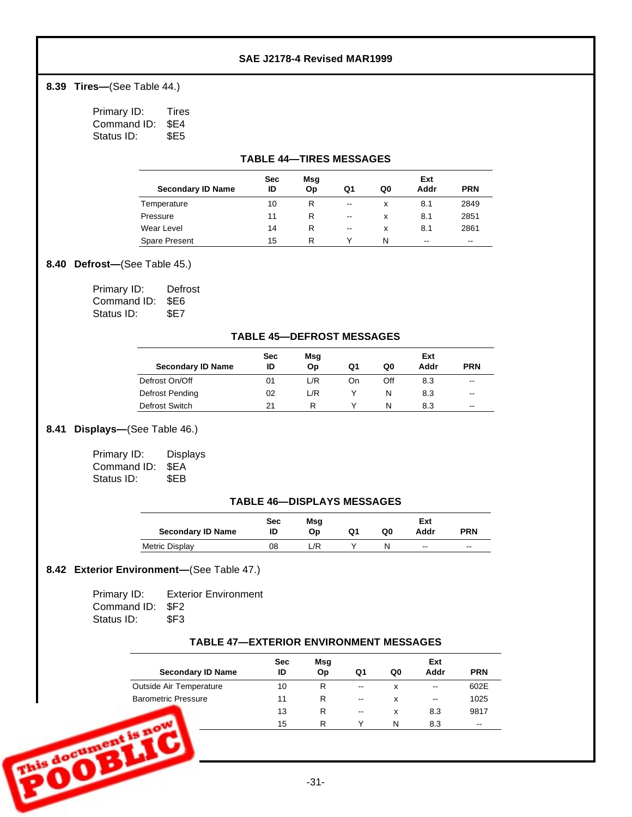**8.39 Tires—(See Table 44.)** 

Primary ID: Tires Command ID: \$E4 Status ID: \$E5

#### **TABLE 44— TIRES MESSAGES**

|                          | <b>Sec</b> | Msg |                          |    | Ext  |            |
|--------------------------|------------|-----|--------------------------|----|------|------------|
| <b>Secondary ID Name</b> | ID         | Op  | Q1                       | Q0 | Addr | <b>PRN</b> |
| Temperature              | 10         | R   | $- -$                    | x  | 8.1  | 2849       |
| Pressure                 | 11         | R   | $-$                      | x  | 8.1  | 2851       |
| Wear Level               | 14         | R   | $\overline{\phantom{a}}$ | x  | 8.1  | 2861       |
| <b>Spare Present</b>     | 15         | R   | v                        | N  | $-$  | $- -$      |

#### **8.40 Defrost-(See Table 45.)**

| Primary ID:      | Defrost |
|------------------|---------|
| Command ID: \$E6 |         |
| Status ID:       | SE7     |

#### **TABLE 45— DEFROST MESSAGES**

|                          | Sec | Msg  |    |     | Ext  |            |
|--------------------------|-----|------|----|-----|------|------------|
| <b>Secondary ID Name</b> | ID  | Op   | Q1 | Q0  | Addr | <b>PRN</b> |
| Defrost On/Off           | 01  | L/R  | On | Off | 8.3  | $- -$      |
| Defrost Pending          | 02  | 1 /R |    |     | 8.3  | $-$        |
| Defrost Switch           | 21  |      |    | N   | 8.3  | $- -$      |

## **8.41 Displays—** (See Table 46.)

| Primary ID:      | <b>Displays</b> |
|------------------|-----------------|
| Command ID: \$EA |                 |
| Status ID:       | \$EB            |

#### **TABLE 46— DISPLAYS MESSAGES**

| <b>Secondary ID Name</b> | Sec<br>ID | Msg<br>Op | Q1 | Q0 | Ext<br>Addr | <b>PRN</b> |
|--------------------------|-----------|-----------|----|----|-------------|------------|
| Metric Display           | 08        | /R        |    |    | $- -$       | $- -$      |

### **8.42 Exterior Environment—** (See Table 47.)

| Primary ID:      | <b>Exterior Environment</b> |
|------------------|-----------------------------|
| Command ID: \$F2 |                             |
| Status ID:       | \$F3                        |

## **TABLE 47— EXTERIOR ENVIRONMENT MESSAGES**

| <b>Secondary ID Name</b>   | <b>Sec</b><br>ID | Msg<br>Op | Q1    | Q0 | Ext<br>Addr | <b>PRN</b>               |
|----------------------------|------------------|-----------|-------|----|-------------|--------------------------|
| Outside Air Temperature    | 10               | R         | $- -$ | x  | $- -$       | 602E                     |
| <b>Barometric Pressure</b> | 11               | R.        | --    | x  | $- -$       | 1025                     |
|                            | 13               | R         | --    | x  | 8.3         | 9817                     |
|                            | 15               | R         | Υ     | N  | 8.3         | $\overline{\phantom{a}}$ |
| s document is now          |                  | $-31-$    |       |    |             |                          |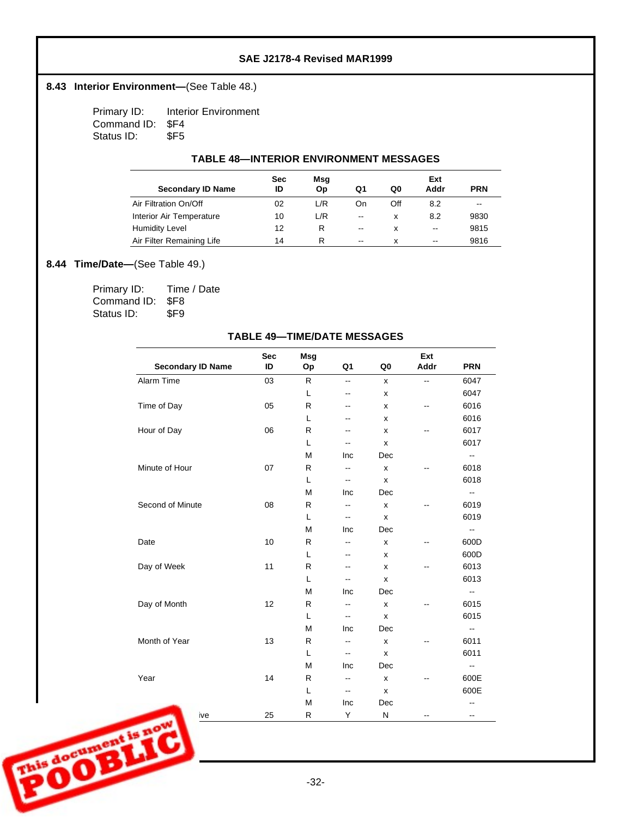### 8.43 **Interior Environment**—(See Table 48.)

Primary ID: Interior Environment Command ID: \$F4<br>Status ID: \$F5 Status ID:

#### **TABLE 48— INTERIOR ENVIRONMENT MESSAGES**

|                           | Sec | Msg |                          |     | Ext  |            |
|---------------------------|-----|-----|--------------------------|-----|------|------------|
| <b>Secondary ID Name</b>  | ID  | Op  | Q1                       | Q0  | Addr | <b>PRN</b> |
| Air Filtration On/Off     | 02  | L/R | On                       | Off | 8.2  | $-$        |
| Interior Air Temperature  | 10  | L/R | $\overline{\phantom{a}}$ | x   | 8.2  | 9830       |
| <b>Humidity Level</b>     | 12  | R   | $\overline{\phantom{a}}$ | x   | $-$  | 9815       |
| Air Filter Remaining Life | 14  | R   | $\overline{\phantom{a}}$ | x   | --   | 9816       |

### 8.44 **Time/Date**—(See Table 49.)

| Primary ID:      | Time / Date |
|------------------|-------------|
| Command ID: \$F8 |             |
| Status ID:       | \$F9        |

|                   | <b>Secondary ID Name</b> | <b>Sec</b><br>ID | Msg<br>Op    | Q <sub>1</sub>           | Q <sub>0</sub>     | Ext<br>Addr              | <b>PRN</b>               |
|-------------------|--------------------------|------------------|--------------|--------------------------|--------------------|--------------------------|--------------------------|
|                   | Alarm Time               | 03               | R            | Ξ.                       | x                  | $\overline{\phantom{a}}$ | 6047                     |
|                   |                          |                  | L            | $\overline{\phantom{a}}$ | x                  |                          | 6047                     |
|                   | Time of Day              | 05               | $\mathsf{R}$ | --                       | x                  | $\overline{\phantom{a}}$ | 6016                     |
|                   |                          |                  | L            | --                       | x                  |                          | 6016                     |
|                   | Hour of Day              | 06               | $\mathsf{R}$ | --                       | x                  | $-$                      | 6017                     |
|                   |                          |                  | L            | $\overline{\phantom{a}}$ | x                  |                          | 6017                     |
|                   |                          |                  | M            | Inc                      | Dec                |                          | $\sim$                   |
|                   | Minute of Hour           | 07               | R            | -−                       | X                  |                          | 6018                     |
|                   |                          |                  | L            | $\overline{\phantom{a}}$ | $\pmb{\mathsf{x}}$ |                          | 6018                     |
|                   |                          |                  | M            | Inc                      | Dec                |                          | $\sim$                   |
|                   | Second of Minute         | 08               | R            | --                       | $\pmb{\mathsf{x}}$ |                          | 6019                     |
|                   |                          |                  | L            | $\overline{\phantom{a}}$ | $\pmb{\mathsf{x}}$ |                          | 6019                     |
|                   |                          |                  | M            | Inc                      | Dec                |                          | $\sim$                   |
|                   | Date                     | 10               | R            | Ξ.                       | $\pmb{\mathsf{x}}$ |                          | 600D                     |
|                   |                          |                  | L            | -−                       | x                  |                          | 600D                     |
|                   | Day of Week              | 11               | R            | -−                       | x                  | $\overline{\phantom{a}}$ | 6013                     |
|                   |                          |                  | L            | Ξ.                       | x                  |                          | 6013                     |
|                   |                          |                  | M            | Inc                      | Dec                |                          | $\sim$                   |
|                   | Day of Month             | 12               | $\mathsf{R}$ | $\overline{\phantom{a}}$ | $\pmb{\times}$     |                          | 6015                     |
|                   |                          |                  | L            | Ξ.                       | x                  |                          | 6015                     |
|                   |                          |                  | M            | Inc                      | Dec                |                          | $\mathbf{u}$             |
|                   | Month of Year            | 13               | R            | Ξ.                       | $\pmb{\times}$     | $\overline{\phantom{a}}$ | 6011                     |
|                   |                          |                  | L            | Ξ.                       | $\pmb{\mathsf{x}}$ |                          | 6011                     |
|                   |                          |                  | M            | Inc                      | Dec                |                          | $\overline{\phantom{a}}$ |
|                   | Year                     | 14               | R            | $\overline{\phantom{a}}$ | x                  | $\overline{\phantom{a}}$ | 600E                     |
|                   |                          |                  | L            | $\overline{\phantom{a}}$ | $\pmb{\times}$     |                          | 600E                     |
|                   |                          |                  | M            | Inc                      | Dec                |                          | Ξ.                       |
| <b>SOOTHERNES</b> | ive                      | 25               | ${\sf R}$    | Y                        | ${\sf N}$          |                          | $\overline{\phantom{a}}$ |
|                   |                          |                  | $-32-$       |                          |                    |                          |                          |

#### **TABLE 49— TIME/DATE MESSAGES**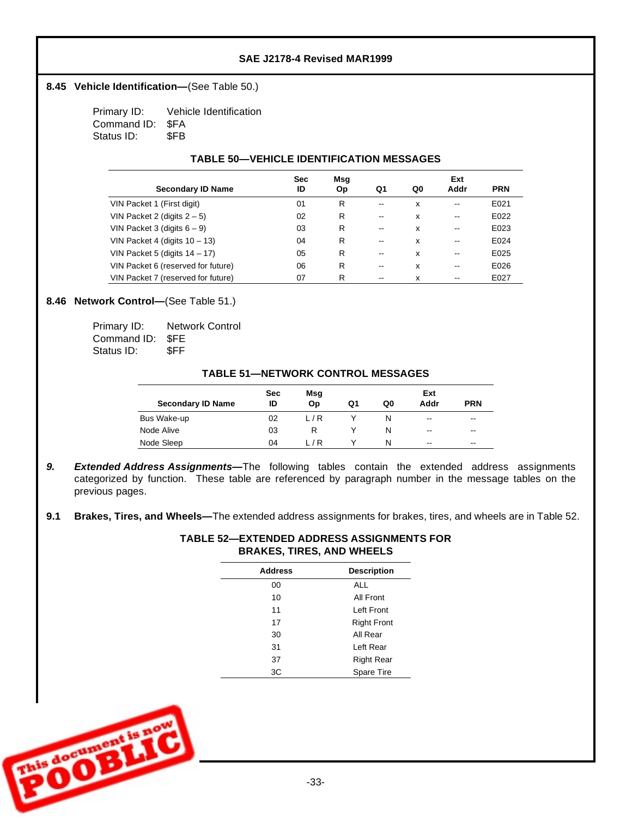### 8.45 Vehicle Identification-(See Table 50.)

Primary ID: Vehicle Identification Command ID: \$FA Status ID: \$FB

### **TABLE 50— VEHICLE IDENTIFICATION MESSAGES**

|                                    | <b>Sec</b> | Msg       |       |    |                   |            |
|------------------------------------|------------|-----------|-------|----|-------------------|------------|
| <b>Secondary ID Name</b>           | ID         | <b>Op</b> | Q1    | Q0 | Addr              | <b>PRN</b> |
| VIN Packet 1 (First digit)         | 01         | R         | $- -$ | x  | $\qquad \qquad -$ | E021       |
| VIN Packet 2 (digits $2-5$ )       | 02         | R         | $- -$ | x  | $\qquad \qquad -$ | E022       |
| VIN Packet 3 (digits $6 - 9$ )     | 03         | R         | $- -$ | x  | --                | E023       |
| VIN Packet 4 (digits $10 - 13$ )   | 04         | R         | $- -$ | x  | $\qquad \qquad -$ | E024       |
| VIN Packet 5 (digits $14 - 17$ )   | 05         | R         | $- -$ | x  | $\qquad \qquad -$ | E025       |
| VIN Packet 6 (reserved for future) | 06         | R         | $- -$ | x  | $\qquad \qquad -$ | E026       |
| VIN Packet 7 (reserved for future) | 07         | R         | --    | x  | --                | E027       |

## 8.46 **Network Control**—(See Table 51.)

| Primary ID:      | <b>Network Control</b> |
|------------------|------------------------|
| Command ID: \$FE |                        |
| Status ID:       | \$FF                   |

### **TABLE 51— NETWORK CONTROL MESSAGES**

|                          | <b>Sec</b> | Msg |    |    | Ext   |            |
|--------------------------|------------|-----|----|----|-------|------------|
| <b>Secondary ID Name</b> | ID         | Op  | Q1 | Q0 | Addr  | <b>PRN</b> |
| Bus Wake-up              | 02         | L/R |    |    | $- -$ | --         |
| Node Alive               | 03         |     |    | N  | $-$   | --         |
| Node Sleep               | 04         | 17R |    | N  | $- -$ | --         |

- 9. **Extended Address Assignments--** The following tables contain the extended address assignments categorized by function. These table are referenced by paragraph number in the message tables on the previous pages.
- **9.1 Brakes, Tires, and Wheels—** The extended address assignments for brakes, tires, and wheels are in Table 52.

| TABLE 52—EXTENDED ADDRESS ASSIGNMENTS FOR |
|-------------------------------------------|
| <b>BRAKES, TIRES, AND WHEELS</b>          |

| <b>Address</b> | <b>Description</b> |
|----------------|--------------------|
| 00             | ALL                |
| 10             | All Front          |
| 11             | Left Front         |
| 17             | <b>Right Front</b> |
| 30             | All Rear           |
| 31             | Left Rear          |
| 37             | <b>Right Rear</b>  |
| 3C             | <b>Spare Tire</b>  |

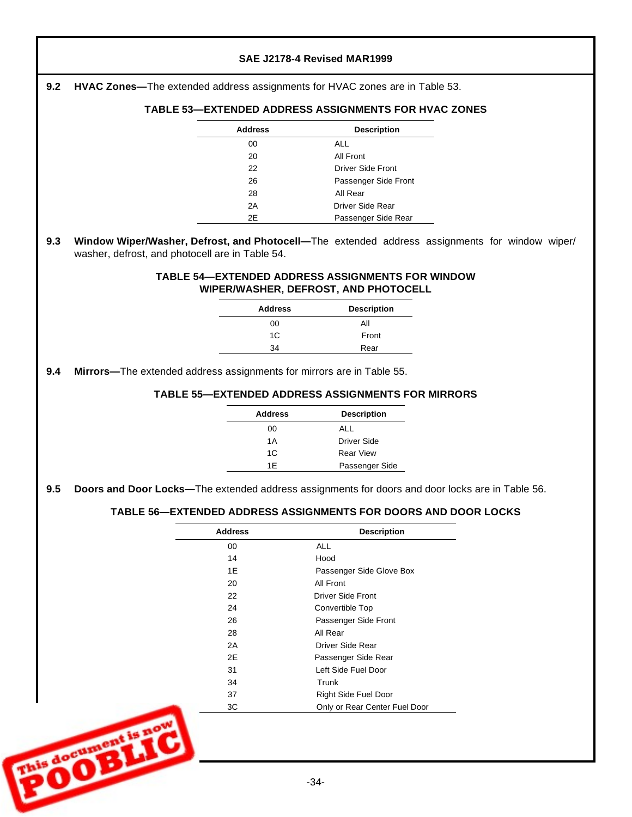| 9.2        | HVAC Zones-The extended address assignments for HVAC zones are in Table 53.                     |                            |                                                                                                 |                                                                                                |
|------------|-------------------------------------------------------------------------------------------------|----------------------------|-------------------------------------------------------------------------------------------------|------------------------------------------------------------------------------------------------|
|            |                                                                                                 |                            | <b>TABLE 53-EXTENDED ADDRESS ASSIGNMENTS FOR HVAC ZONES</b>                                     |                                                                                                |
|            |                                                                                                 | <b>Address</b>             | <b>Description</b>                                                                              |                                                                                                |
|            |                                                                                                 | 00                         | <b>ALL</b>                                                                                      |                                                                                                |
|            |                                                                                                 | 20                         | <b>All Front</b>                                                                                |                                                                                                |
|            |                                                                                                 | 22                         | <b>Driver Side Front</b>                                                                        |                                                                                                |
|            |                                                                                                 | 26<br>28                   | Passenger Side Front<br>All Rear                                                                |                                                                                                |
|            |                                                                                                 | 2A                         | <b>Driver Side Rear</b>                                                                         |                                                                                                |
|            |                                                                                                 | 2E                         | Passenger Side Rear                                                                             |                                                                                                |
| 9.3        | washer, defrost, and photocell are in Table 54.                                                 |                            | <b>TABLE 54-EXTENDED ADDRESS ASSIGNMENTS FOR WINDOW</b><br>WIPER/WASHER, DEFROST, AND PHOTOCELL | Window Wiper/Washer, Defrost, and Photocell-The extended address assignments for window wiper/ |
|            |                                                                                                 | <b>Address</b>             | <b>Description</b>                                                                              |                                                                                                |
|            |                                                                                                 | 00                         | All                                                                                             |                                                                                                |
|            |                                                                                                 | 1C                         | Front                                                                                           |                                                                                                |
|            |                                                                                                 |                            |                                                                                                 |                                                                                                |
|            | Mirrors-The extended address assignments for mirrors are in Table 55.                           | 34<br><b>Address</b><br>00 | Rear<br><b>TABLE 55-EXTENDED ADDRESS ASSIGNMENTS FOR MIRRORS</b><br><b>Description</b><br>ALL   |                                                                                                |
|            |                                                                                                 | 1A<br>1C                   | <b>Driver Side</b><br><b>Rear View</b>                                                          |                                                                                                |
|            | Doors and Door Locks-The extended address assignments for doors and door locks are in Table 56. | 1E                         | Passenger Side                                                                                  |                                                                                                |
| 9.4<br>9.5 |                                                                                                 |                            | TABLE 56-EXTENDED ADDRESS ASSIGNMENTS FOR DOORS AND DOOR LOCKS                                  |                                                                                                |
|            |                                                                                                 | <b>Address</b>             | <b>Description</b>                                                                              |                                                                                                |
|            |                                                                                                 | 00                         | <b>ALL</b>                                                                                      |                                                                                                |
|            |                                                                                                 | 14                         | Hood                                                                                            |                                                                                                |
|            |                                                                                                 | 1E                         | Passenger Side Glove Box                                                                        |                                                                                                |
|            |                                                                                                 | 20<br>22                   | All Front<br>Driver Side Front                                                                  |                                                                                                |
|            |                                                                                                 | 24                         | Convertible Top                                                                                 |                                                                                                |
|            |                                                                                                 | 26                         | Passenger Side Front                                                                            |                                                                                                |
|            |                                                                                                 | 28                         | All Rear                                                                                        |                                                                                                |
|            |                                                                                                 | 2A                         | Driver Side Rear                                                                                |                                                                                                |
|            |                                                                                                 | 2E                         | Passenger Side Rear                                                                             |                                                                                                |
|            |                                                                                                 | 31                         | Left Side Fuel Door                                                                             |                                                                                                |
|            |                                                                                                 | 34                         | Trunk                                                                                           |                                                                                                |
|            |                                                                                                 | 37<br>3C                   | Right Side Fuel Door<br>Only or Rear Center Fuel Door                                           |                                                                                                |

٢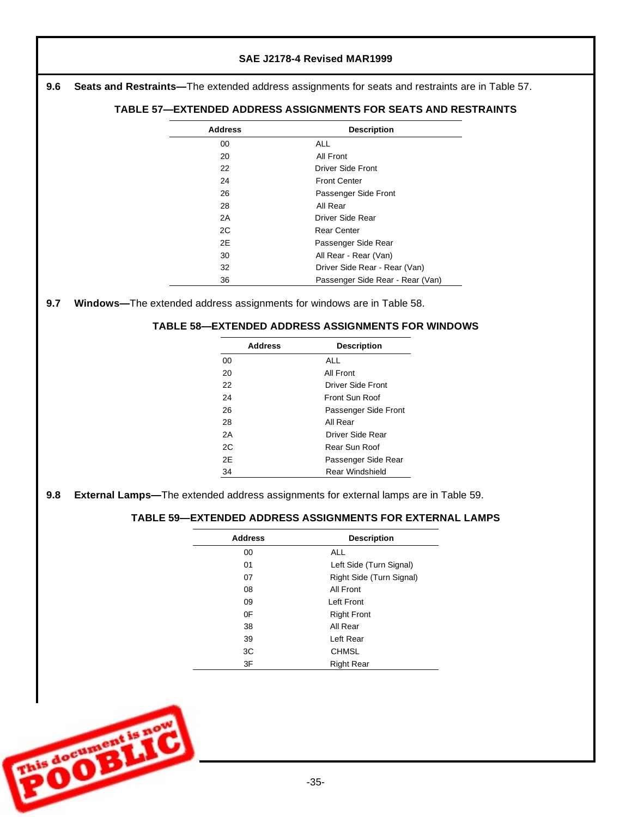# **SAE J2178-4 Revised MAR1999 9.6 Seats and Restraints—** The extended address assignments for seats and restraints are in Table 57. **9.7 Windows—** The extended address assignments for windows are in Table 58. **9.8 External Lamps—** The extended address assignments for external lamps are in Table 59. **TABLE 57— EXTENDED ADDRESS ASSIGNMENTS FOR SEATS AND RESTRAINTS Address Description** 00 ALL 20 All Front 22 Driver Side Front 24 Front Center 26 Passenger Side Front 28 All Rear 2A Driver Side Rear 2C Rear Center 2E Passenger Side Rear 30 All Rear - Rear (Van) 32 Driver Side Rear - Rear (Van) 36 Passenger Side Rear - Rear (Van) **TABLE 58— EXTENDED ADDRESS ASSIGNMENTS FOR WINDOWS Address Description** 00 ALL 20 All Front 22 Driver Side Front 24 Front Sun Roof 26 Passenger Side Front 28 All Rear 2A Driver Side Rear 2C Rear Sun Roof 2E Passenger Side Rear 34 Rear Windshield **TABLE 59— EXTENDED ADDRESS ASSIGNMENTS FOR EXTERNAL LAMPS Address Description** 00 ALL 01 Left Side (Turn Signal) 07 Right Side (Turn Signal) 08 All Front 09 Left Front 0F Right Front 38 All Rear 39 Left Rear 3C CHMSL 3F Right Rear

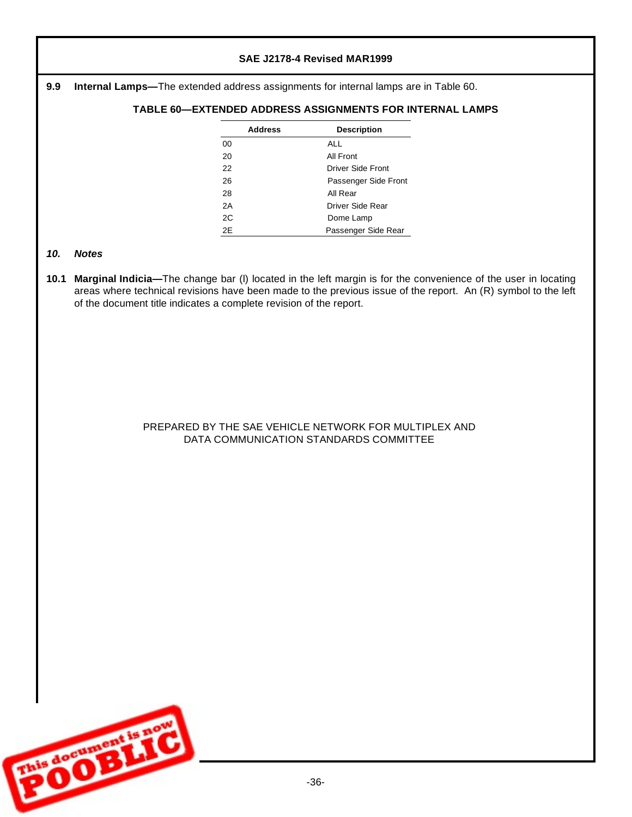### **9.9 Internal Lamps—** The extended address assignments for internal lamps are in Table 60.

## **TABLE 60— EXTENDED ADDRESS ASSIGNMENTS FOR INTERNAL LAMPS**

| <b>Address</b> | <b>Description</b>   |
|----------------|----------------------|
| 00             | ALL                  |
| 20             | All Front            |
| 22             | Driver Side Front    |
| 26             | Passenger Side Front |
| 28             | All Rear             |
| 2A             | Driver Side Rear     |
| 2C             | Dome Lamp            |
| 2Ε             | Passenger Side Rear  |

#### *10. Notes*

**10.1 Marginal Indicia—** The change bar (l) located in the left margin is for the convenience of the user in locating areas where technical revisions have been made to the previous issue of the report. An (R) symbol to the left of the document title indicates a complete revision of the report.

## PREPARED BY THE SAE VEHICLE NETWORK FOR MULTIPLEX AND DATA COMMUNICATION STANDARDS COMMITTEE